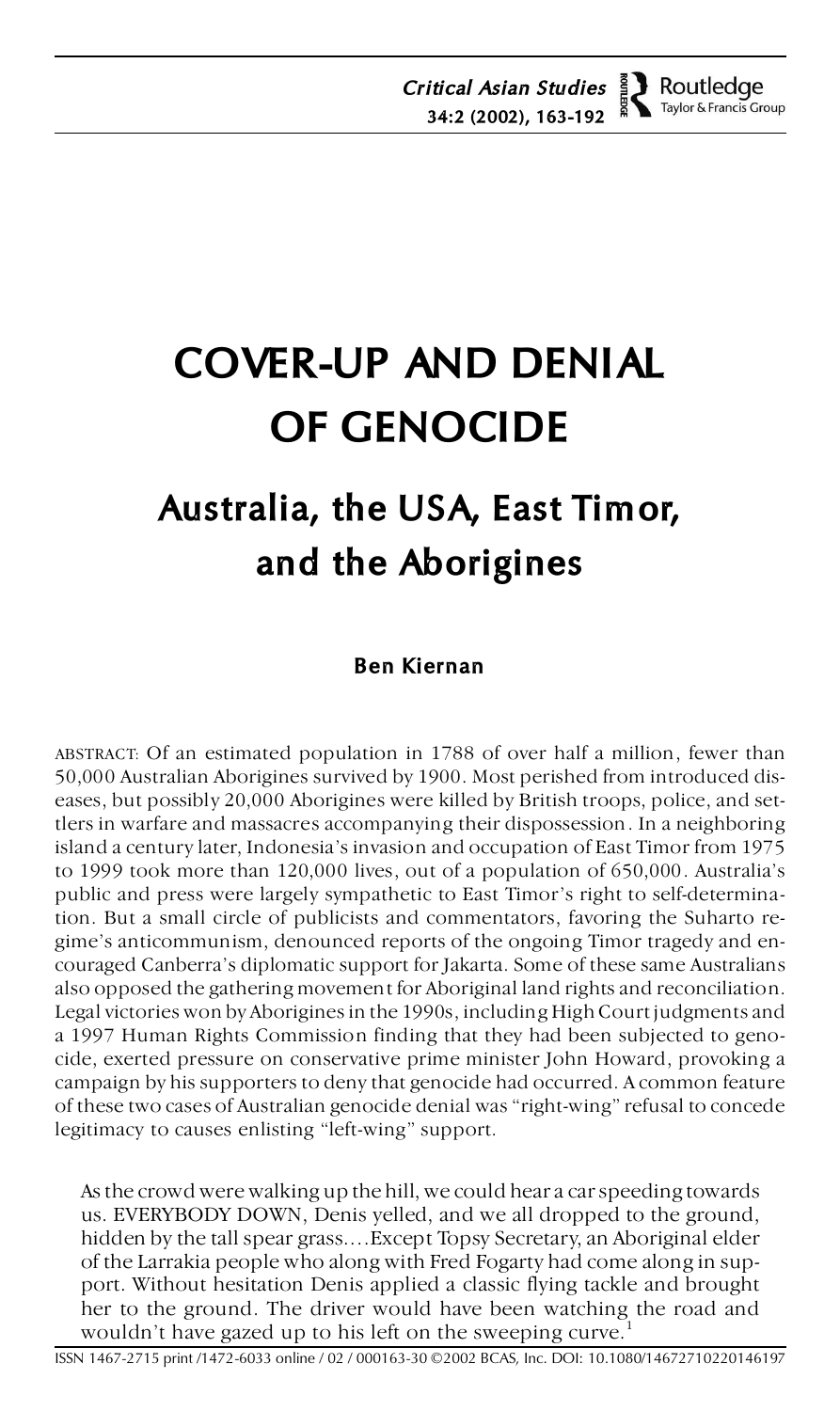**Critical Asian Studies**  $\sum_{\text{Raylor } \text{A Francis Gr}}^{\text{g}}$  Routledge 34:2 (2002) , 163-192



# COVER-UP AND DENIAL OF GENOCIDE

Kiernan/Cover-up and Denial of Genocide

# Australia, the USA, East Timor, and the Aborigines

#### B en Kiernan

ABSTRACT: Of an estimated population in 1788 of over half a million, fewer than 50,000 Australian Aborigines survived by 1900. Most perished from introduced dis eases, but possibly 20,000 Aborigines were killed by British troops, police, and settlers in warfare and massacres accompanying their dispossession. In a neighboring island a century later, Indonesia's invasion and occupation of East Timor from 1975 to 1999 took more than 120,000 lives, out of a population of 650,000. Australia's public and press were largely sympathetic to East Timor's right to self-determination. But a small circle of publicists and commentators, favoring the Suharto re gime's anticommunism, denounced reports of the ongoing Timor tragedy and en couraged Canberra's diplomatic support for Jakarta. Some of these same Australians also opposed the gathering movement for Aboriginal land rights and reconciliation. Legal victories won by Aborigines in the 1990s, including High Court judgments and a 1997 Human Rights Commission finding that they had been subjected to geno cide, exerted pressure on conservative prime minister John Howard, provoking a campaign by his supporters to deny that genocide had occurred. A common feature of these two cases of Australian genocide denial was "right-wing" refusal to concede legitimacy to causes enlisting "left-wing" support.

As the crowd were walking up the hill, we could hear a car speeding towards us. EVERYBODY DOWN, Denis yelled, and we all dropped to the ground, hidden by the tall spear grass.…Except Topsy Secretary, an Aboriginal elder of the Larrakia people who along with Fred Fogarty had come along in sup port. Without hesitation Denis applied a classic flying tackle and brought her to the ground. The driver would have been watching the road and wouldn't have gazed up to his left on the sweeping curve.<sup>1</sup>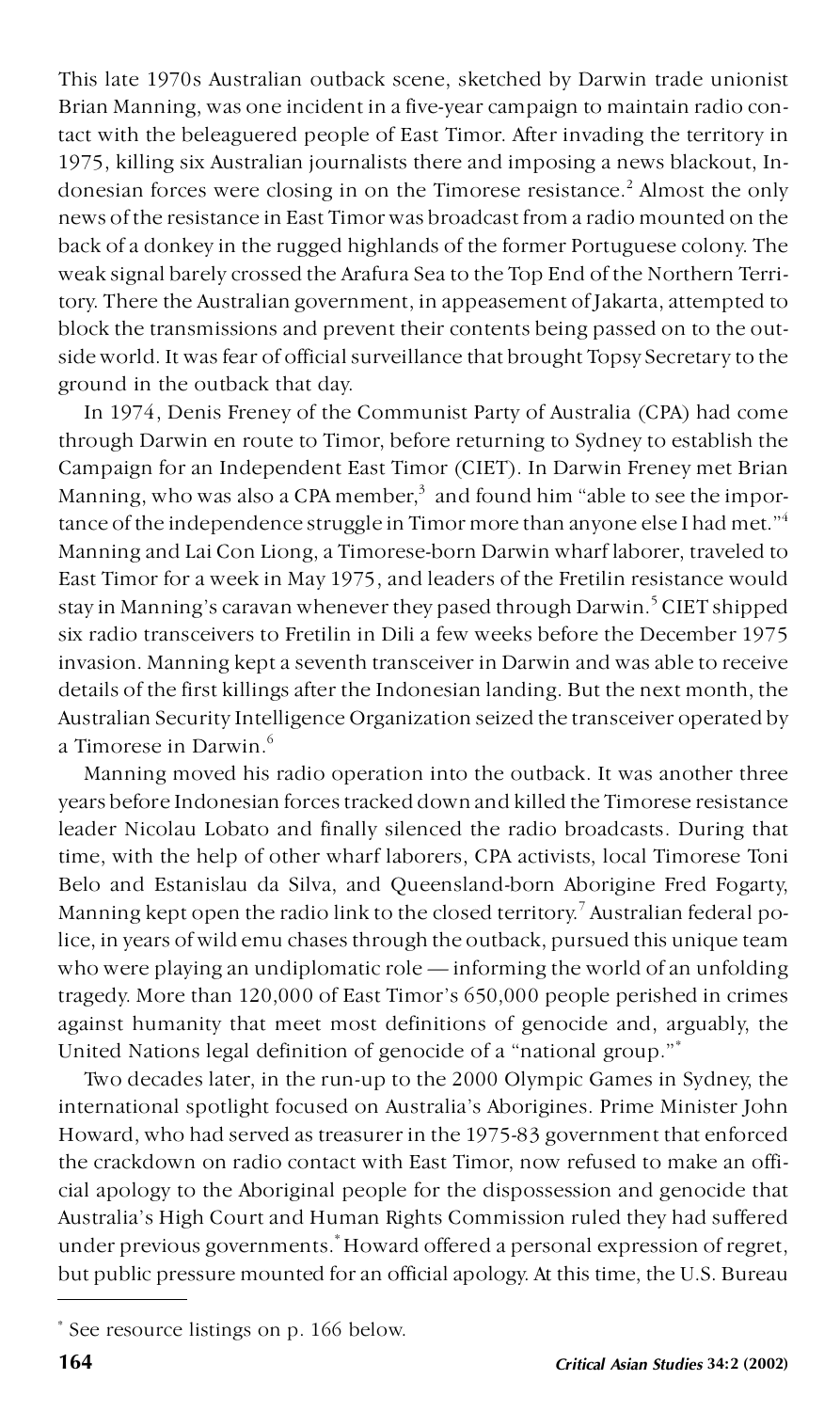This late 1970s Australian outback scene, sketched by Darwin trade unionist Brian Manning, was one incident in a five-year campaign to maintain radio contact with the beleaguered people of East Timor. After invading the territory in 1975, killing six Australian journalists there and imposing a news blackout, In donesian forces were closing in on the Timorese resistance.<sup>2</sup> Almost the only news of the resistance in East Timor was broadcast from a radio mounted on the back of a donkey in the rugged highlands of the former Portuguese colony. The weak signal barely crossed the Arafura Sea to the Top End of the Northern Territory. There the Australian government, in appeasement of Jakarta, attempted to block the transmissions and prevent their contents being passed on to the outside world. It was fear of official surveillance that brought Topsy Secretary to the ground in the outback that day.

In 1974, Denis Freney of the Communist Party of Australia (CPA) had come through Darwin en route to Timor, before returning to Sydney to establish the Campaign for an Independent East Timor (CIET). In Darwin Freney met Brian Manning, who was also a CPA member, $3$  and found him "able to see the importance of the independence struggle in Timor more than anyone else I had met." $^4$ Manning and Lai Con Liong, a Timorese-born Darwin wharf laborer, traveled to East Timor for a week in May 1975, and leaders of the Fretilin resistance would stay in Manning's caravan whenever they pased through Darwin.<sup>5</sup> CIET shipped six radio transceivers to Fretilin in Dili a few weeks before the December 1975 invasion. Manning kept a seventh transceiver in Darwin and was able to receive details of the first killings after the Indonesian landing. But the next month, the Australian Security Intelligence Organization seized the transceiver operated by a Timorese in Darwin.<sup>6</sup>

Manning moved his radio operation into the outback. It was another three years before Indonesian forces tracked down and killed the Timorese resistance leader Nicolau Lobato and finally silenced the radio broadcasts. During that time, with the help of other wharf laborers, CPA activists, local Timorese Toni Belo and Estanislau da Silva, and Queensland-born Aborigine Fred Fogarty, Manning kept open the radio link to the closed territory.<sup>7</sup> Australian federal police, in years of wild emu chases through the outback, pursued this unique team who were playing an undiplomatic role — informing the world of an unfolding tragedy. More than 120,000 of East Timor's 650,000 people perished in crimes against humanity that meet most definitions of genocide and, arguably, the United Nations legal definition of genocide of a "national group." \*

Two decades later, in the run-up to the 2000 Olympic Games in Sydney, the international spotlight focused on Australia's Aborigines. Prime Minister John Howard, who had served as treasurer in the 1975-83 government that enforced the crackdown on radio contact with East Timor, now refused to make an offi cial apology to the Aboriginal people for the dispossession and genocide that Australia's High Court and Human Rights Commission ruled they had suffered under previous governments.\*Howard offered a personal expression of regret, but public pressure mounted for an official apology. At this time, the U.S. Bureau

<sup>\*</sup> See resource listings on p. 166 below.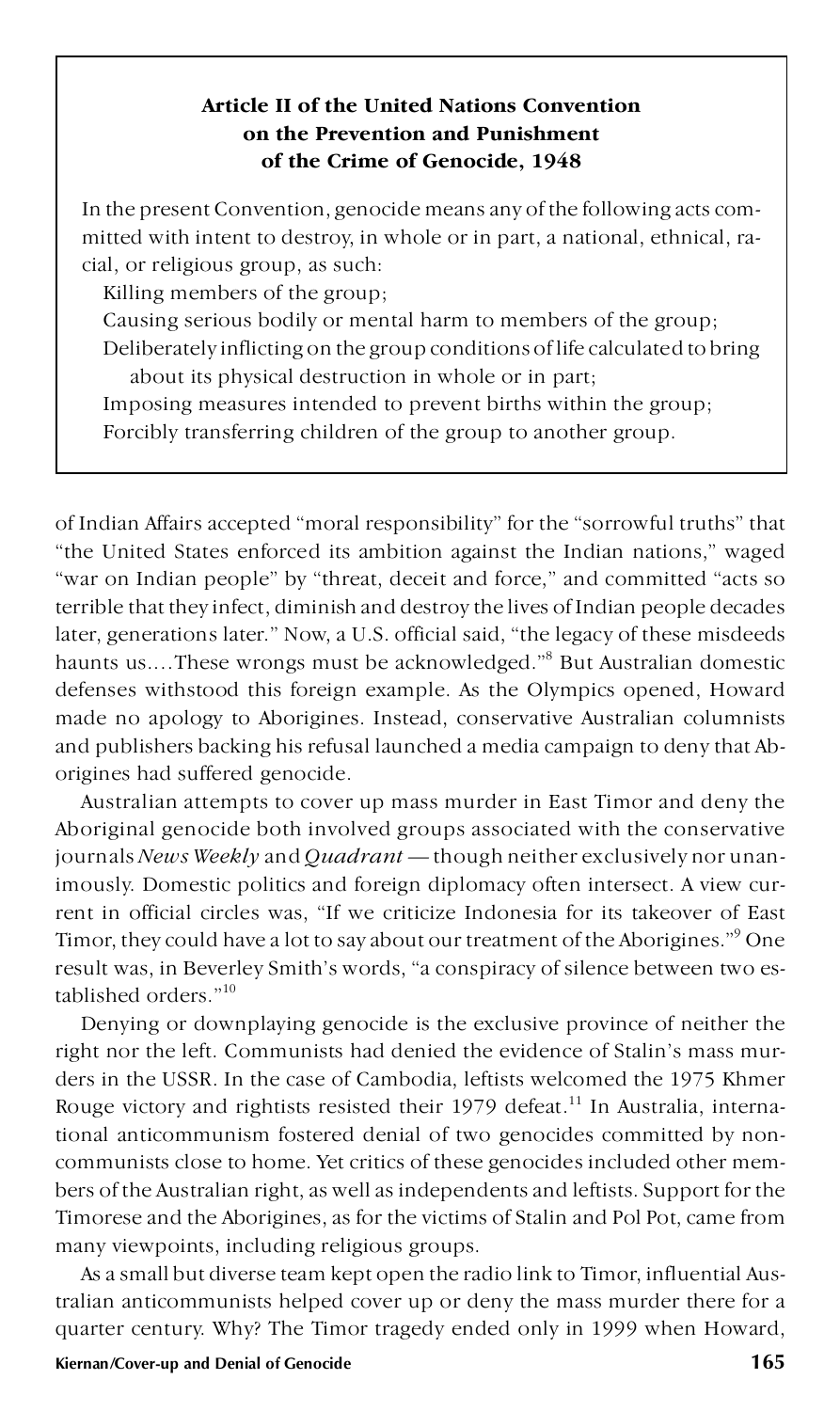#### **Article II of the United Nations Convention on the Prevention and Punishment of the Crime of Genocide, 1948**

In the present Convention, genocide means any of the following acts com mitted with intent to destroy, in whole or in part, a national, ethnical, ra cial, or religious group, as such:

Killing members of the group;

Causing serious bodily or mental harm to members of the group;

Deliberately inflicting on the group conditions of life calculated to bring about its physical destruction in whole or in part;

Imposing measures intended to prevent births within the group; Forcibly transferring children of the group to another group.

of Indian Affairs accepted "moral responsibility" for the "sorrowful truths" that "the United States enforced its ambition against the Indian nations," waged "war on Indian people" by "threat, deceit and force," and committed "acts so terrible that they infect, diminish and destroy the lives of Indian people decades later, generations later." Now, a U.S. official said, "the legacy of these misdeeds haunts us.…These wrongs must be acknowledged." <sup>8</sup> But Australian domestic defenses withstood this foreign example. As the Olympics opened, Howard made no apology to Aborigines. Instead, conservative Australian columnists and publishers backing his refusal launched a media campaign to deny that Ab origines had suffered genocide.

Australian attempts to cover up mass murder in East Timor and deny the Aboriginal genocide both involved groups associated with the conservative journals *News Weekly* and *Quadrant* — though neither exclusively nor unanimously. Domestic politics and foreign diplomacy often intersect. A view current in official circles was, "If we criticize Indonesia for its takeover of East Timor, they could have a lot to say about our treatment of the Aborigines." <sup>9</sup> One result was, in Beverley Smith's words, "a conspiracy of silence between two established orders." 10

Denying or downplaying genocide is the exclusive province of neither the right nor the left. Communists had denied the evidence of Stalin's mass mur ders in the USSR. In the case of Cambodia, leftists welcomed the 1975 Khmer Rouge victory and rightists resisted their 1979 defeat.<sup>11</sup> In Australia, international anticommunism fostered denial of two genocides committed by non communists close to home. Yet critics of these genocides included other mem bers of the Australian right, as well as independents and leftists. Support for the Timorese and the Aborigines, as for the victims of Stalin and Pol Pot, came from many viewpoints, including religious groups.

As a small but diverse team kept open the radio link to Timor, influential Australian anticommunists helped cover up or deny the mass murder there for a quarter century. Why? The Timor tragedy ended only in 1999 when Howard,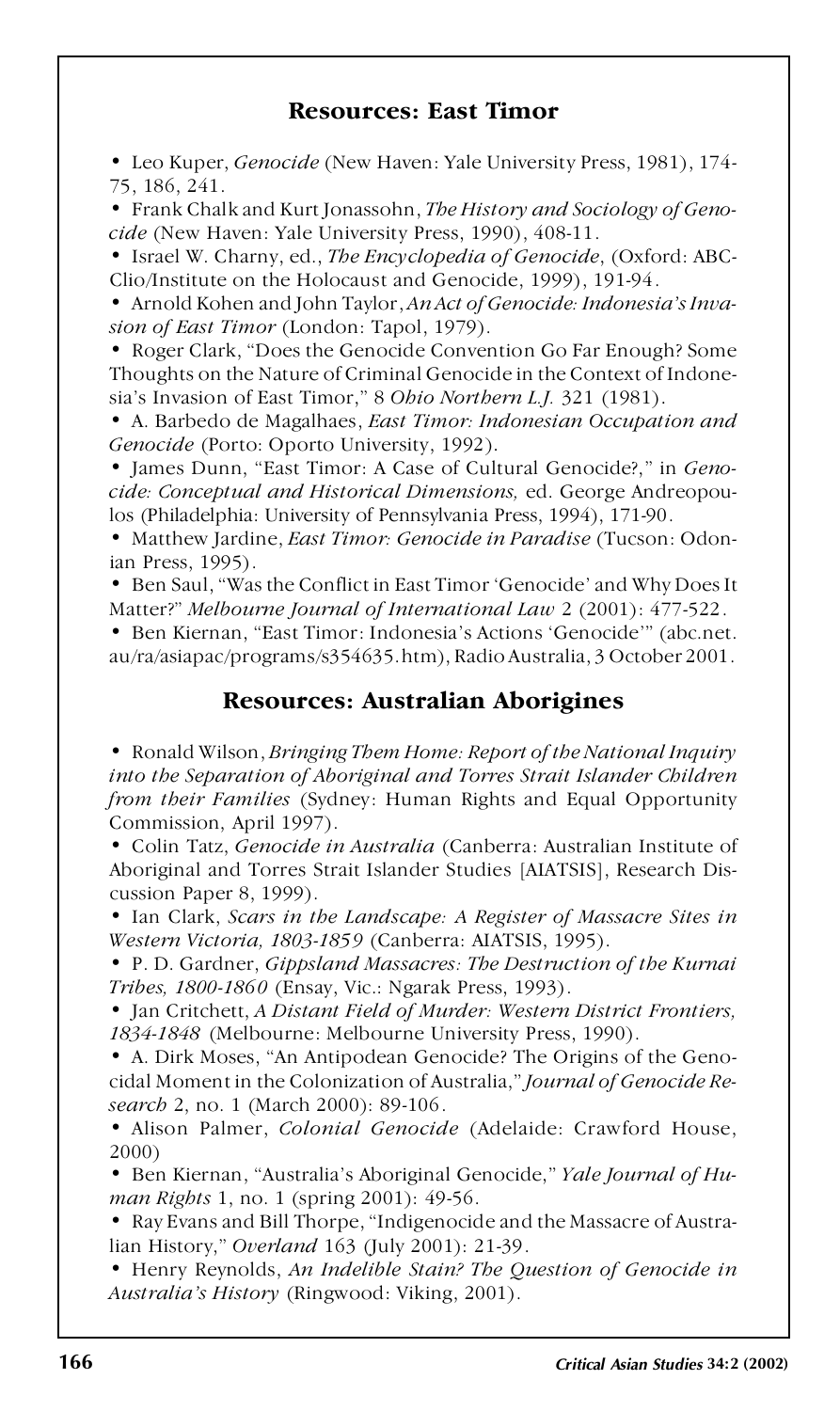## **Resources: East Timor**

 Leo Kuper, *Genocide* (New Haven: Yale University Press, 1981), 174- 75, 186, 241.

 Frank Chalk and Kurt Jonassohn, *The History and Sociology of Geno cide* (New Haven: Yale University Press, 1990), 408-11.

 Israel W. Charny, ed., *The Encyclopedia of Genocide*, (Oxford: ABC- Clio/Institute on the Holocaust and Genocide, 1999), 191-94.

 Arnold Kohen and John Taylor, *AnAct of Genocide: Indonesia's Invasion of East Timor* (London: Tapol, 1979).

 Roger Clark, "Does the Genocide Convention Go Far Enough? Some Thoughts on the Nature of Criminal Genocide in the Context of Indone sia's Invasion of East Timor," 8 *Ohio Northern L.J.* 321 (1981).

 A. Barbedo de Magalhaes, *East Timor: Indonesian Occupation and Genocide* (Porto: Oporto University, 1992).

 James Dunn, "East Timor: A Case of Cultural Genocide?," in *Genocide: Conceptual and Historical Dimensions,* ed. George Andreopoulos (Philadelphia: University of Pennsylvania Press, 1994), 171-90.

 Matthew Jardine, *East Timor: Genocide in Paradise* (Tucson: Odonian Press, 1995).

 Ben Saul, "Was the Conflict in East Timor 'Genocide' and Why Does It Matter?" *Melbourne Journal of International Law* 2 (2001): 477-522 .

 Ben Kiernan, "East Timor: Indonesia's Actions 'Genocide'" (abc.net. au/ra/asiapac/programs/s354635.htm), Radio Australia, 3 October 2001.

#### **Resources: Australian Aborigines**

 Ronald Wilson, *Bringing Them Home: Report of the National Inquiry into the Separation ofAboriginal and Torres Strait Islander Children from their Families* (Sydney: Human Rights and Equal Opportunity Commission, April 1997).

 Colin Tatz, *Genocide in Australia* (Canberra: Australian Institute of Aboriginal and Torres Strait Islander Studies [AIATSIS], Research Dis cussion Paper 8, 1999).

 Ian Clark, *Scars in the Landscape: A Register of Massacre Sites in Western Victoria, 1803-185 9* (Canberra: AIATSIS, 1995).

 P. D. Gardner, *Gippsland Massacres: The Destruction of the Kurnai Tribes, 1800-186 0* (Ensay, Vic.: Ngarak Press, 1993).

 Jan Critchett, *A Distant Field of Murder: Western District Frontiers, 1834-1848* (Melbourne: Melbourne University Press, 1990).

 A. Dirk Moses, "An Antipodean Genocide? The Origins of the Geno cidal Moment in the Colonization of Australia," *Journal of Genocide Research* 2, no. 1 (March 2000): 89-106.

 Alison Palmer, *Colonial Genocide* (Adelaide: Crawford House, 2000)

 Ben Kiernan, "Australia's Aboriginal Genocide," *Yale Journal of Hu man Rights* 1, no. 1 (spring 2001): 49-56.

 Ray Evans and Bill Thorpe, "Indigenocide and the Massacre of Australian History," *Overland* 163 (July 2001): 21-39.

 Henry Reynolds, *An Indelible Stain? The Question of Genocide in Australia's History* (Ringwood: Viking, 2001).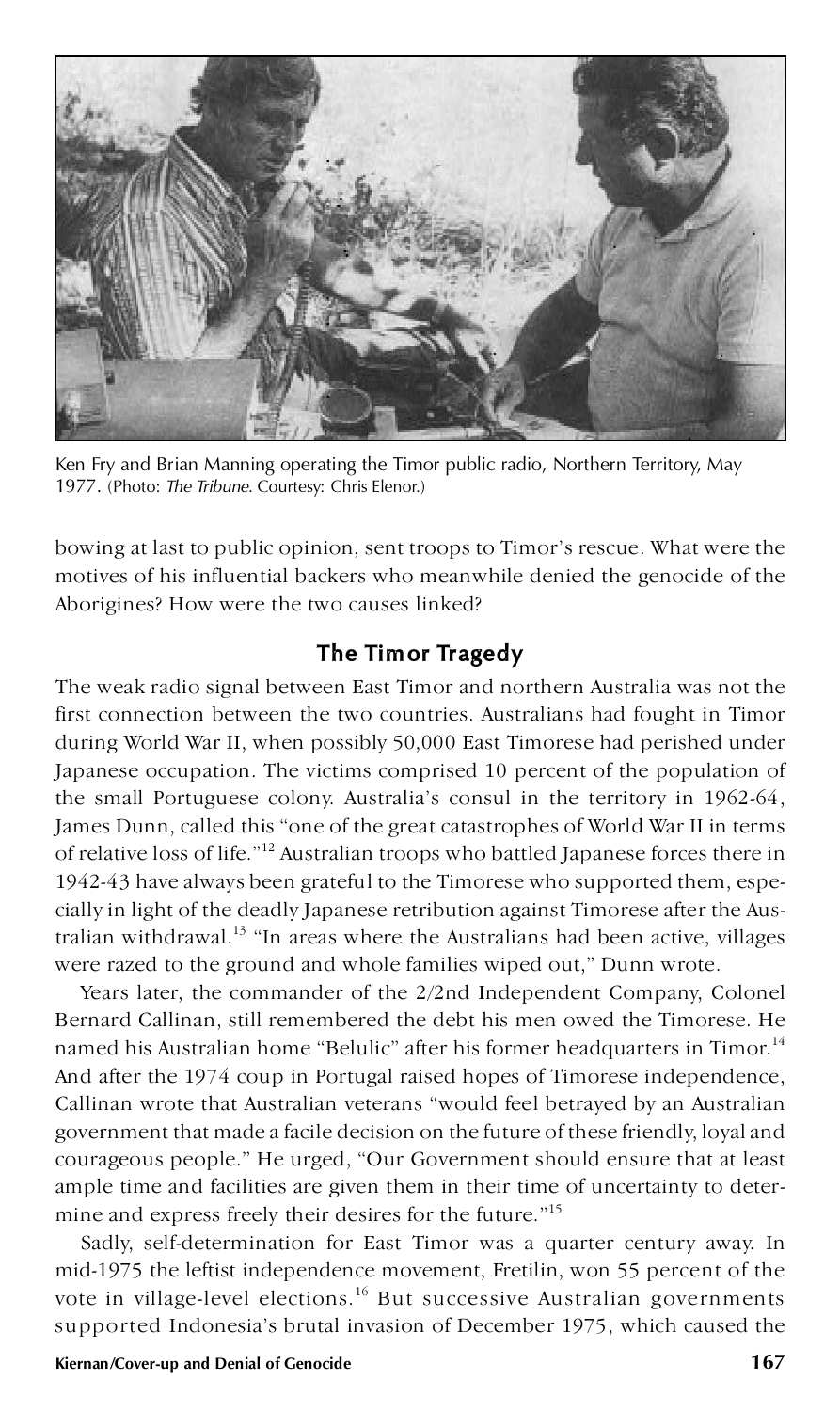

Ken Fry and Brian Manning operating the Timor public radio, Northern Territory, May 1977. (Photo: *The Tribune.* Courtesy: Chris Elenor.)

bowing at last to public opinion, sent troops to Timor's rescue. What were the motives of his influential backers who meanwhile denied the genocide of the Aborigines? How were the two causes linked?

## The Timor Tragedy

The weak radio signal between East Timor and northern Australia was not the first connection between the two countries. Australians had fought in Timor during World War II, when possibly 50,000 East Timorese had perished under Japanese occupation. The victims comprised 10 percent of the population of the small Portuguese colony. Australia's consul in the territory in 1962-64, James Dunn, called this "one of the great catastrophes of World War II in terms of relative loss of life." <sup>12</sup> Australian troops who battled Japanese forces there in 1942-43 have always been grateful to the Timorese who supported them, espe cially in light of the deadly Japanese retribution against Timorese after the Australian withdrawal.<sup>13</sup> "In areas where the Australians had been active, villages were razed to the ground and whole families wiped out," Dunn wrote.

Years later, the commander of the 2/2nd Independent Company, Colonel Bernard Callinan, still remembered the debt his men owed the Timorese. He named his Australian home "Belulic" after his former headquarters in Timor.<sup>14</sup> And after the 1974 coup in Portugal raised hopes of Timorese independence, Callinan wrote that Australian veterans "would feel betrayed by an Australian government that made a facile decision on the future of these friendly, loyal and courageous people." He urged, "Our Government should ensure that at least ample time and facilities are given them in their time of uncertainty to deter mine and express freely their desires for the future." 15

Sadly, self-determination for East Timor was a quarter century away. In mid-1975 the leftist independence movement, Fretilin, won 55 percent of the vote in village-level elections.<sup>16</sup> But successive Australian governments supported Indonesia's brutal invasion of December 1975, which caused the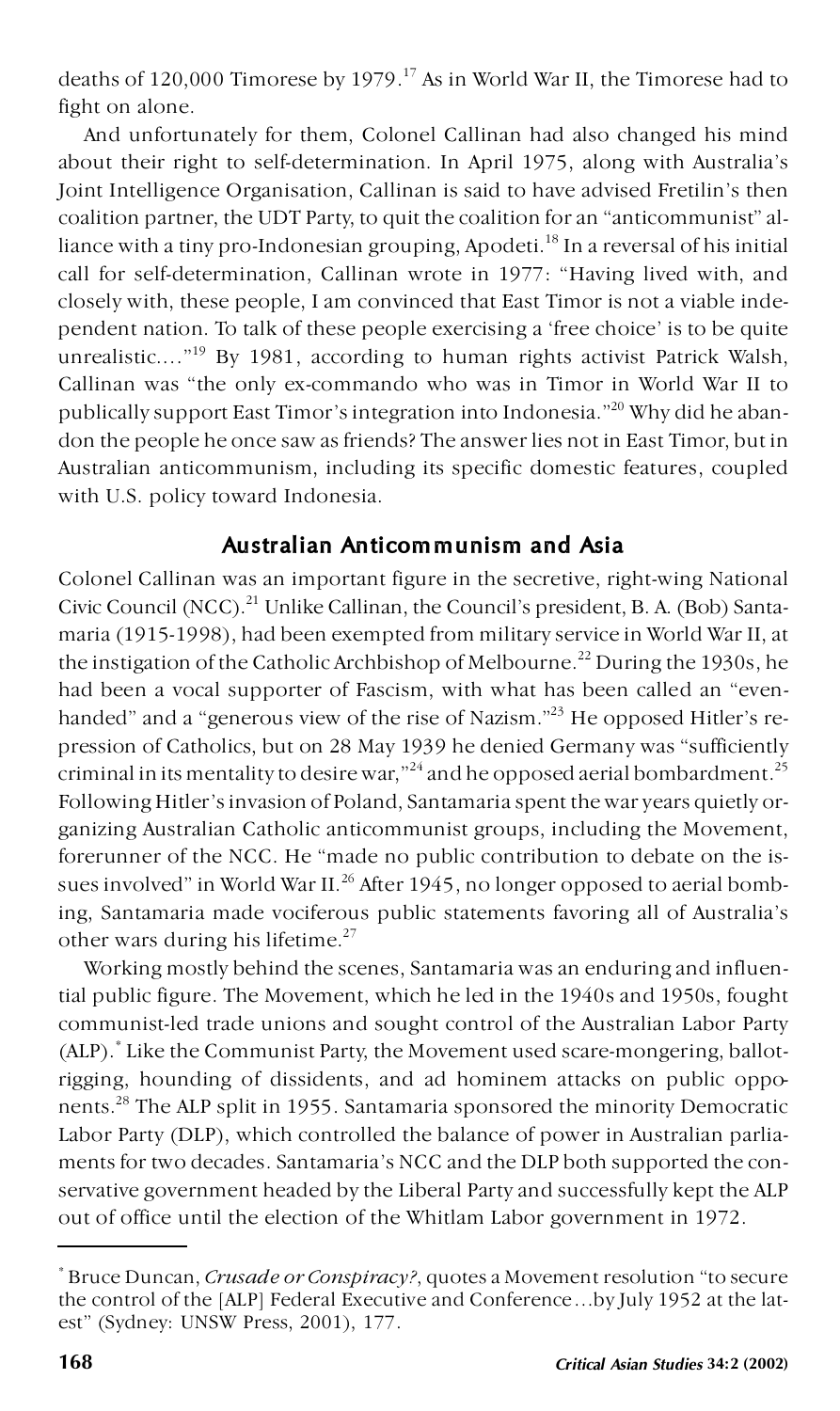deaths of 120,000 Timorese by 1979.<sup>17</sup> As in World War II, the Timorese had to fight on alone.

And unfortunately for them, Colonel Callinan had also changed his mind about their right to self-determination. In April 1975, along with Australia's Joint Intelligence Organisation, Callinan is said to have advised Fretilin's then coalition partner, the UDT Party, to quit the coalition for an "anticommunist" alliance with a tiny pro-Indonesian grouping, Apodeti.<sup>18</sup> In a reversal of his initial call for self-determination, Callinan wrote in 1977: "Having lived with, and closely with, these people, I am convinced that East Timor is not a viable inde pendent nation. To talk of these people exercising a 'free choice' is to be quite unrealistic.…" <sup>19</sup> By 1981, according to human rights activist Patrick Walsh, Callinan was "the only ex-commando who was in Timor in World War II to publically support East Timor's integration into Indonesia."<sup>20</sup> Why did he abandon the people he once saw as friends? The answer lies not in East Timor, but in Australian anticommunism, including its specific domestic features, coupled with U.S. policy toward Indonesia.

#### Australian Anticommunism and Asia

Colonel Callinan was an important figure in the secretive, right-wing National Civic Council (NCC).<sup>21</sup> Unlike Callinan, the Council's president, B. A. (Bob) Santa maria (1915-1998), had been exempted from military service in World War II, at the instigation of the Catholic Archbishop of Melbourne.<sup>22</sup> During the 1930s, he had been a vocal supporter of Fascism, with what has been called an "even handed" and a "generous view of the rise of Nazism."<sup>23</sup> He opposed Hitler's repression of Catholics, but on 28 May 1939 he denied Germany was "sufficiently criminal in its mentality to desire war," $^{24}$  and he opposed aerial bombardment. $^{25}$ Following Hitler's invasion of Poland, Santamaria spent the war years quietly or ganizing Australian Catholic anticommunist groups, including the Movement, forerunner of the NCC. He "made no public contribution to debate on the issues involved" in World War II.<sup>26</sup> After 1945, no longer opposed to aerial bombing, Santamaria made vociferous public statements favoring all of Australia's other wars during his lifetime. $27$ 

Working mostly behind the scenes, Santamaria was an enduring and influential public figure. The Movement, which he led in the 1940s and 1950s, fought communist-led trade unions and sought control of the Australian Labor Party (ALP).\* Like the Communist Party, the Movement used scare-mongering, ballotrigging, hounding of dissidents, and ad hominem attacks on public oppo nents.<sup>28</sup> The ALP split in 1955. Santamaria sponsored the minority Democratic Labor Party (DLP), which controlled the balance of power in Australian parlia ments for two decades. Santamaria's NCC and the DLP both supported the conservative government headed by the Liberal Party and successfully kept the ALP out of office until the election of the Whitlam Labor government in 1972.

<sup>\*</sup> Bruce Duncan, *Crusade or Conspiracy?*, quotes a Movement resolution "to secure the control of the [ALP] Federal Executive and Conference…by July 1952 at the lat est" (Sydney: UNSW Press, 2001), 177.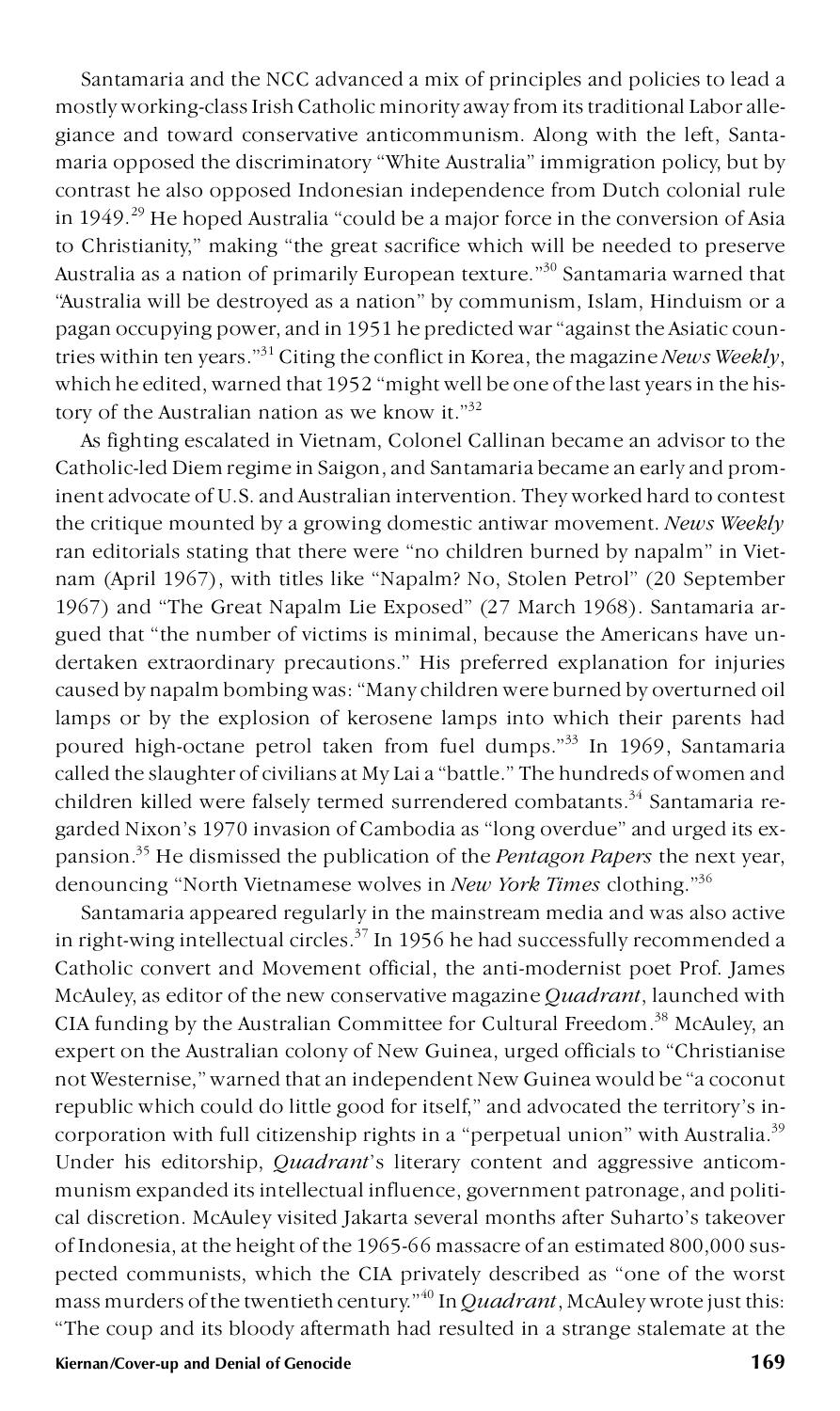Santamaria and the NCC advanced a mix of principles and policies to lead a mostly working-class Irish Catholic minority away from its traditional Labor alle giance and toward conservative anticommunism. Along with the left, Santa maria opposed the discriminatory "White Australia" immigration policy, but by contrast he also opposed Indonesian independence from Dutch colonial rule in  $1949.^{29}$  He hoped Australia "could be a major force in the conversion of Asia to Christianity," making "the great sacrifice which will be needed to preserve Australia as a nation of primarily European texture." <sup>30</sup> Santamaria warned that "Australia will be destroyed as a nation" by communism, Islam, Hinduism or a pagan occupying power, and in 1951 he predicted war "against the Asiatic countries within ten years." <sup>31</sup> Citing the conflict in Korea, the magazine *News Weekly*, which he edited, warned that 1952 "might well be one of the last years in the history of the Australian nation as we know it." $^{32}$ 

As fighting escalated in Vietnam, Colonel Callinan became an advisor to the Catholic-led Diem regime in Saigon, and Santamaria became an early and prominent advocate of U.S. and Australian intervention. They worked hard to contest the critique mounted by a growing domestic antiwar movement. *News Weekly* ran editorials stating that there were "no children burned by napalm" in Viet nam (April 1967), with titles like "Napalm? No, Stolen Petrol" (20 September 1967) and "The Great Napalm Lie Exposed" (27 March 1968). Santamaria ar gued that "the number of victims is minimal, because the Americans have un dertaken extraordinary precautions." His preferred explanation for injuries caused by napalm bombing was: "Many children were burned by overturned oil lamps or by the explosion of kerosene lamps into which their parents had poured high-octane petrol taken from fuel dumps." <sup>33</sup> In 1969, Santamaria called the slaughter of civilians at My Lai a "battle." The hundreds of women and children killed were falsely termed surrendered combatants.<sup>34</sup> Santamaria regarded Nixon's 1970 invasion of Cambodia as "long overdue" and urged its ex pansion.<sup>35</sup> He dismissed the publication of the *Pentagon Papers* the next year, denouncing "North Vietnamese wolves in *New York Times* clothing."<sup>36</sup>

Santamaria appeared regularly in the mainstream media and was also active in right-wing intellectual circles.<sup>37</sup> In 1956 he had successfully recommended a Catholic convert and Movement official, the anti-modernist poet Prof. James McAuley, as editor of the new conservative magazine *Quadrant*, launched with CIA funding by the Australian Committee for Cultural Freedom.<sup>38</sup> McAuley, an expert on the Australian colony of New Guinea, urged officials to "Christianise not Westernise," warned that an independent New Guinea would be "a coconut republic which could do little good for itself," and advocated the territory's in corporation with full citizenship rights in a "perpetual union" with Australia.<sup>39</sup> Under his editorship, *Quadrant*'s literary content and aggressive anticom munism expanded its intellectual influence, government patronage, and politi cal discretion. McAuley visited Jakarta several months after Suharto's takeover of Indonesia, at the height of the 1965-66 massacre of an estimated 800,000 sus pected communists, which the CIA privately described as "one of the worst mass murders of the twentieth century."<sup>40</sup> In *Quadrant*, McAuley wrote just this: "The coup and its bloody aftermath had resulted in a strange stalemate at the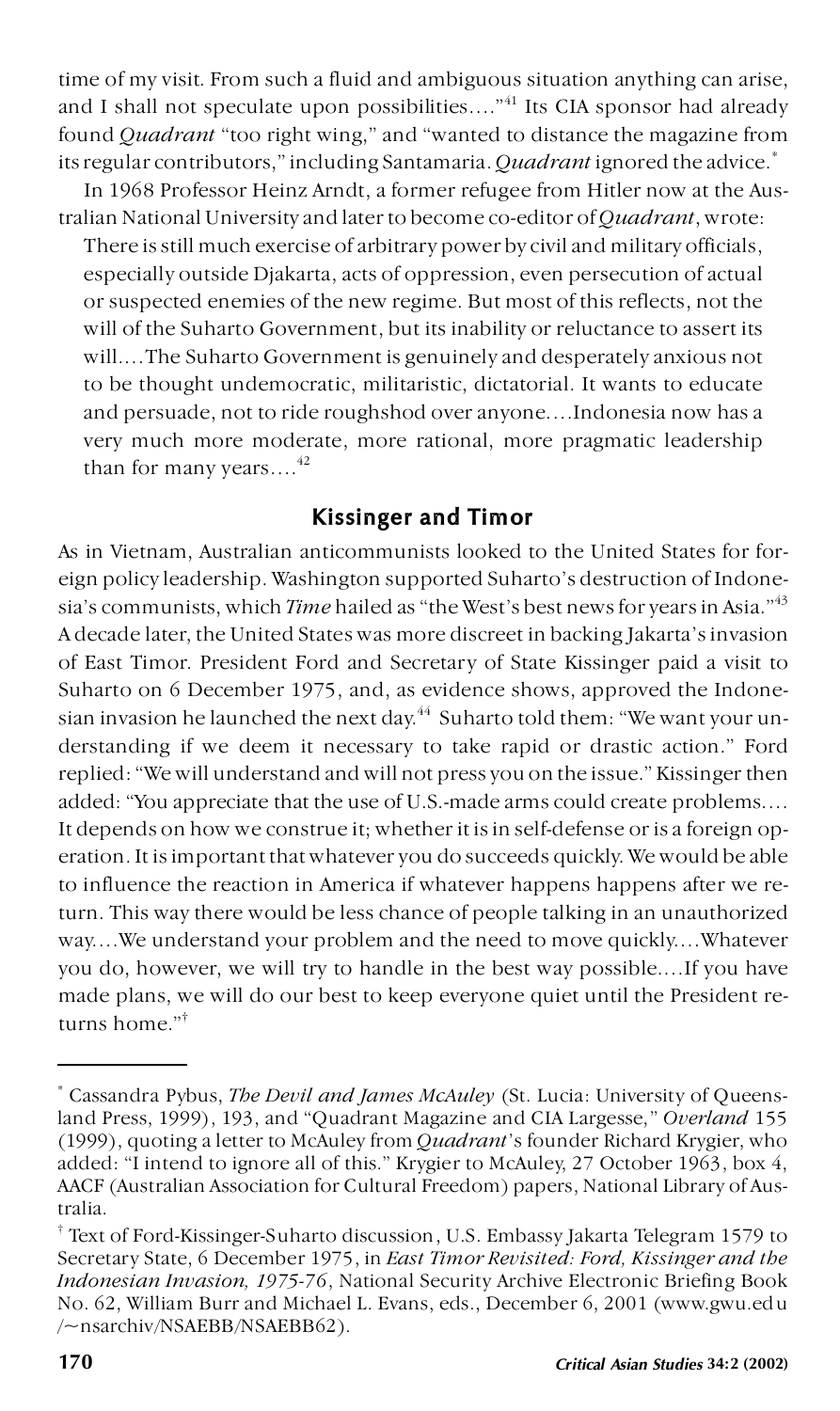time of my visit. From such a fluid and ambiguous situation anything can arise, and I shall not speculate upon possibilities...."<sup>41</sup> Its CIA sponsor had already found *Quadrant* "too right wing," and "wanted to distance the magazine from its regular contributors," including Santamaria. *Quadrant* ignored the advice.\*

In 1968 Professor Heinz Arndt, a former refugee from Hitler now at the Australian National University and later to become co-editor of *Quadrant*, wrote:

There is still much exercise of arbitrary power by civil and military officials, especially outside Djakarta, acts of oppression, even persecution of actual or suspected enemies of the new regime. But most of this reflects, not the will of the Suharto Government, but its inability or reluctance to assert its will.…The Suharto Government is genuinely and desperately anxious not to be thought undemocratic, militaristic, dictatorial. It wants to educate and persuade, not to ride roughshod over anyone.…Indonesia now has a very much more moderate, more rational, more pragmatic leadership than for many years... $^{42}$ 

#### Kissinger and Timor

As in Vietnam, Australian anticommunists looked to the United States for for eign policy leadership. Washington supported Suharto's destruction of Indonesia's communists, which *Time* hailed as "the West's best news for years in Asia." 43 A decade later, the United States was more discreet in backing Jakarta's invasion of East Timor. President Ford and Secretary of State Kissinger paid a visit to Suharto on 6 December 1975, and, as evidence shows, approved the Indonesian invasion he launched the next day.<sup>44</sup> Suharto told them: "We want your understanding if we deem it necessary to take rapid or drastic action." Ford replied:"We will understand and will not press you on the issue." Kissinger then added: "You appreciate that the use of U.S.-made arms could create problems.… It depends on how we construe it; whether it is in self-defense or is a foreign op eration. It is important that whatever you do succeeds quickly. We would be able to influence the reaction in America if whatever happens happens after we return. This way there would be less chance of people talking in an unauthorized way.…We understand your problem and the need to move quickly.…Whatever you do, however, we will try to handle in the best way possible.…If you have made plans, we will do our best to keep everyone quiet until the President returns home." †

<sup>\*</sup> Cassandra Pybus, *The Devil and James McAuley* (St. Lucia: University of Queensland Press, 1999), 193, and "Quadrant Magazine and CIA Largesse," *Overland* 155 (1999), quoting a letter to McAuley from *Quadrant*'s founder Richard Krygier, who added: "I intend to ignore all of this." Krygier to McAuley, 27 October 1963, box 4, AACF (Australian Association for Cultural Freedom) papers, National Library of Australia.

<sup>†</sup> Text of Ford-Kissinger-Suharto discussion, U.S. Embassy Jakarta Telegram 1579 to Secretary State, 6 December 1975, in *East Timor Revisited: Ford, Kissinger and the Indonesian Invasion, 1975-76*, National Security Archive Electronic Briefing Book No. 62, William Burr and Michael L. Evans, eds., December 6, 2001 (www.gwu.edu /~nsarchiv/NSAEBB/NSAEBB62).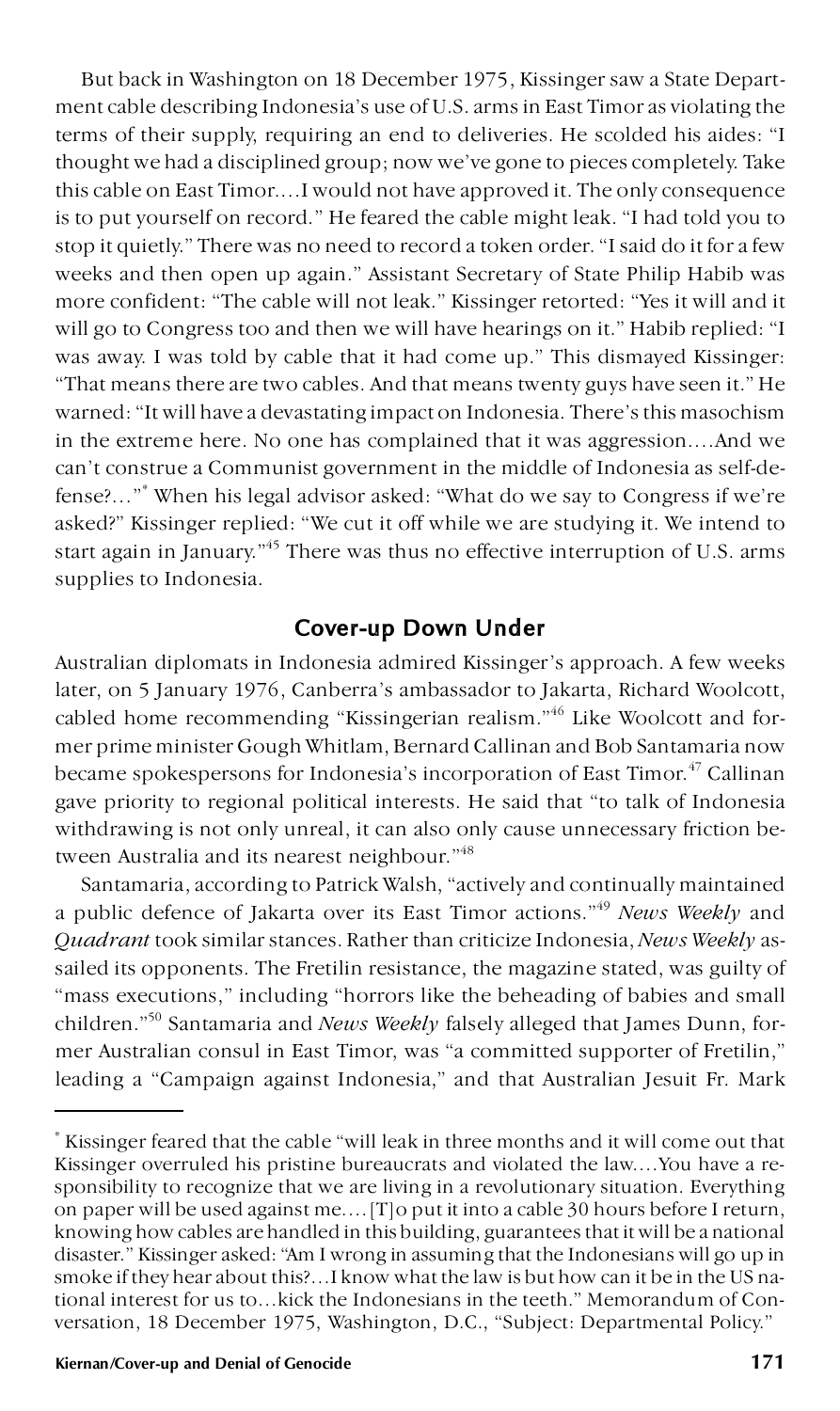But back in Washington on 18 December 1975, Kissinger saw a State Department cable describing Indonesia's use of U.S. arms in East Timor as violating the terms of their supply, requiring an end to deliveries. He scolded his aides: "I thought we had a disciplined group; now we've gone to pieces completely. Take this cable on East Timor.…I would not have approved it. The only consequence is to put yourself on record." He feared the cable might leak. "I had told you to stop it quietly." There was no need to record a token order. "I said do it for a few weeks and then open up again." Assistant Secretary of State Philip Habib was more confident: "The cable will not leak." Kissinger retorted: "Yes it will and it will go to Congress too and then we will have hearings on it." Habib replied: "I was away. I was told by cable that it had come up." This dismayed Kissinger: "That means there are two cables. And that means twenty guys have seen it." He warned: "It will have a devastating impact on Indonesia. There's this masochism in the extreme here. No one has complained that it was aggression.…And we can't construe a Communist government in the middle of Indonesia as self-defense?…" \* When his legal advisor asked: "What do we say to Congress if we're asked?" Kissinger replied: "We cut it off while we are studying it. We intend to start again in January."<sup>45</sup> There was thus no effective interruption of U.S. arms supplies to Indonesia.

#### Cover-up Down Under

Australian diplomats in Indonesia admired Kissinger's approach. A few weeks later, on 5 January 1976, Canberra's ambassador to Jakarta, Richard Woolcott, cabled home recommending "Kissingerian realism." <sup>46</sup> Like Woolcott and for mer prime minister Gough Whitlam, Bernard Callinan and Bob Santamaria now became spokespersons for Indonesia's incorporation of East Timor.<sup>47</sup> Callinan gave priority to regional political interests. He said that "to talk of Indonesia withdrawing is not only unreal, it can also only cause unnecessary friction between Australia and its nearest neighbour."<sup>48</sup>

Santamaria, according to Patrick Walsh, "actively and continually maintained a public defence of Jakarta over its East Timor actions." <sup>49</sup> *News Weekly* and *Quadrant* took similar stances. Rather than criticize Indonesia, *News Weekly* assailed its opponents. The Fretilin resistance, the magazine stated, was guilty of "mass executions," including "horrors like the beheading of babies and small children." <sup>50</sup> Santamaria and *News Weekly* falsely alleged that James Dunn, for mer Australian consul in East Timor, was "a committed supporter of Fretilin," leading a "Campaign against Indonesia," and that Australian Jesuit Fr. Mark

<sup>\*</sup> Kissinger feared that the cable "will leak in three months and itwill come out that Kissinger overruled his pristine bureaucrats and violated the law.…You have a re sponsibility to recognize that we are living in a revolutionary situation. Everything on paper will be used against me.…[T]o put it into a cable 30 hours before I return, knowing how cables are handled in this building, guarantees that it will be a national disaster." Kissinger asked: "Am I wrong in assuming that the Indonesians will go up in smoke if they hear about this?...I know what the law is but how can it be in the US national interest for us to…kick the Indonesians in the teeth." Memorandum of Con versation, 18 December 1975, Washington, D.C., "Subject: Departmental Policy."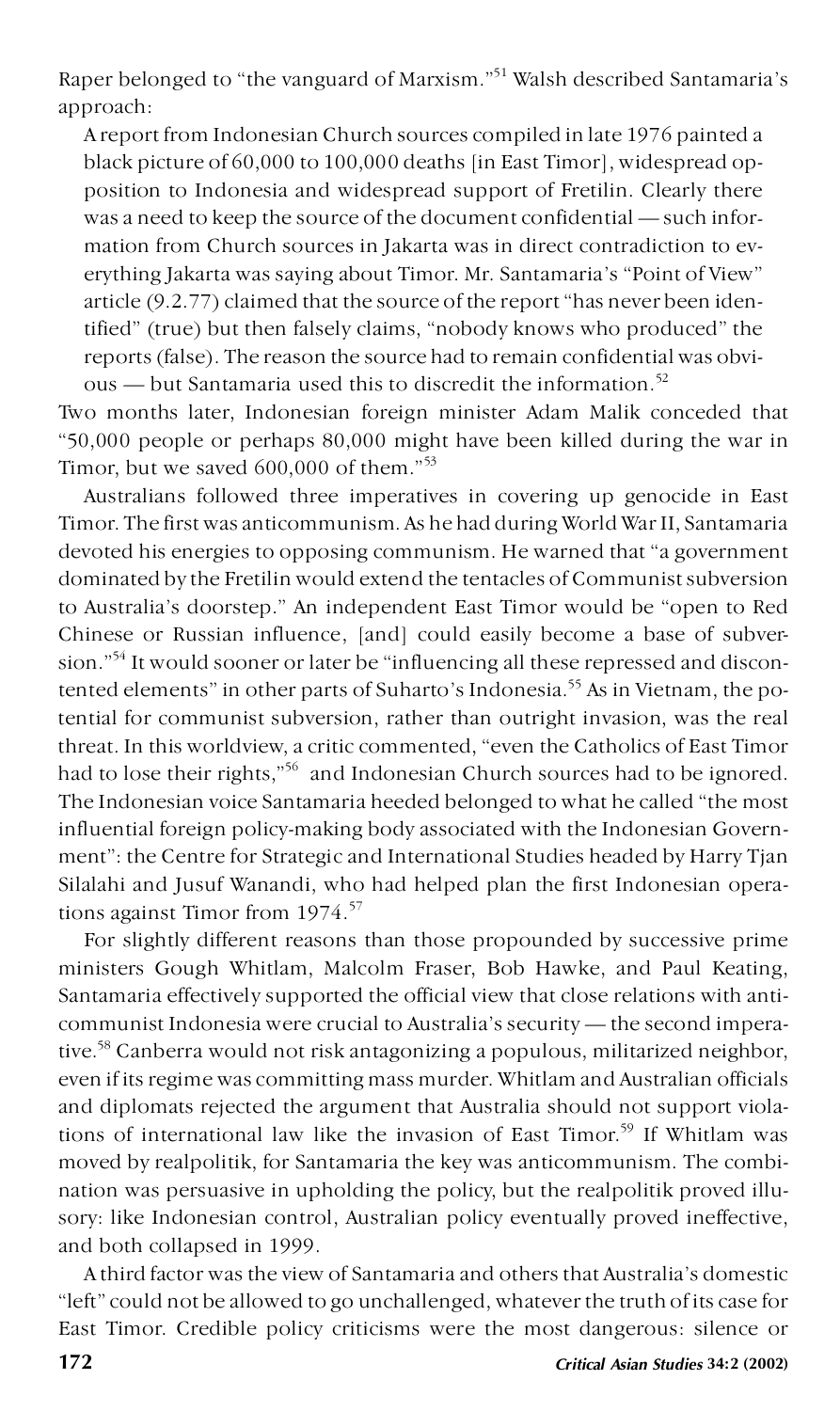Raper belonged to "the vanguard of Marxism."<sup>51</sup> Walsh described Santamaria's approach:

A report from Indonesian Church sources compiled in late 1976 painted a black picture of 60,000 to 100,000 deaths [in East Timor], widespread op position to Indonesia and widespread support of Fretilin. Clearly there was a need to keep the source of the document confidential — such infor mation from Church sources in Jakarta was in direct contradiction to ev erything Jakarta was saying about Timor. Mr. Santamaria's "Point of View" article (9.2.77) claimed that the source of the report "has never been identified" (true) but then falsely claims, "nobody knows who produced" the reports (false). The reason the source had to remain confidential was obvi  $ous - but Santamaria used this to discretite the information.<sup>52</sup>$ 

Two months later, Indonesian foreign minister Adam Malik conceded that "50,000 people or perhaps 80,000 might have been killed during the war in Timor, but we saved 600,000 of them." 53

Australians followed three imperatives in covering up genocide in East Timor. The first was anticommunism. As he had during World War II, Santamaria devoted his energies to opposing communism. He warned that "a government dominated by the Fretilin would extend the tentacles of Communist subversion to Australia's doorstep." An independent East Timor would be "open to Red Chinese or Russian influence, [and] could easily become a base of subversion."<sup>54</sup> It would sooner or later be "influencing all these repressed and discontented elements" in other parts of Suharto's Indonesia.<sup>55</sup> As in Vietnam, the potential for communist subversion, rather than outright invasion, was the real threat. In this worldview, a critic commented, "even the Catholics of East Timor had to lose their rights," <sup>56</sup> and Indonesian Church sources had to be ignored. The Indonesian voice Santamaria heeded belonged to what he called "the most influential foreign policy-making body associated with the Indonesian Govern ment": the Centre for Strategic and International Studies headed by Harry Tjan Silalahi and Jusuf Wanandi, who had helped plan the first Indonesian operations against Timor from  $1974.^{57}$ 

For slightly different reasons than those propounded by successive prime ministers Gough Whitlam, Malcolm Fraser, Bob Hawke, and Paul Keating, Santamaria effectively supported the official view that close relations with anti communist Indonesia were crucial to Australia's security — the second imperative.<sup>58</sup> Canberra would not risk antagonizing a populous, militarized neighbor, even if its regime was committing mass murder. Whitlam and Australian officials and diplomats rejected the argument that Australia should not support violations of international law like the invasion of East Timor.<sup>59</sup> If Whitlam was moved by realpolitik, for Santamaria the key was anticommunism. The combi nation was persuasive in upholding the policy, but the realpolitik proved illusory: like Indonesian control, Australian policy eventually proved ineffective, and both collapsed in 1999.

A third factor was the view of Santamaria and others that Australia's domestic "left" could not be allowed to go unchallenged, whatever the truth of its case for East Timor. Credible policy criticisms were the most dangerous: silence or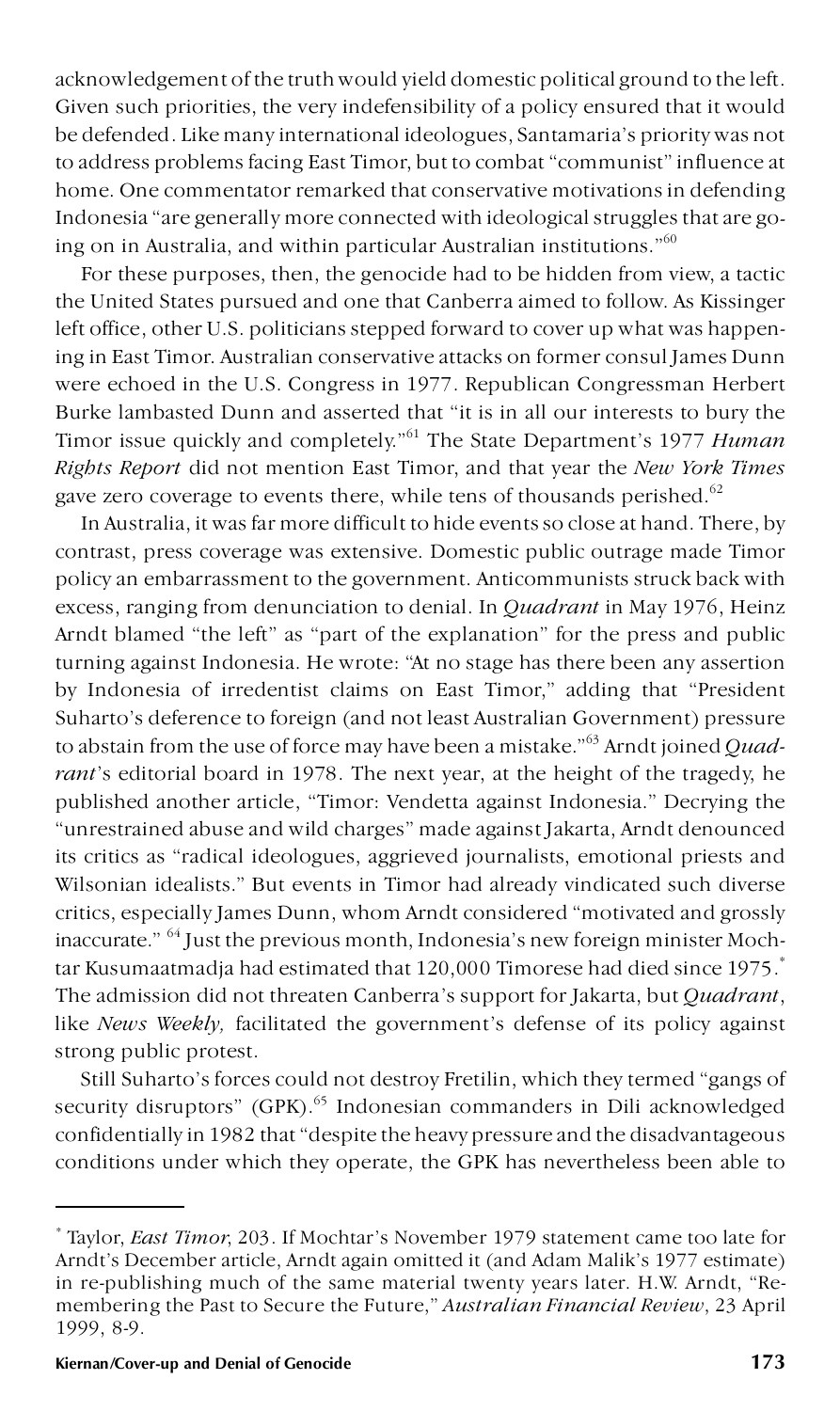acknowledgement of the truth would yield domestic political ground to the left. Given such priorities, the very indefensibility of a policy ensured that it would be defended. Like many international ideologues, Santamaria's priority was not to address problems facing East Timor, but to combat "communist" influence at home. One commentator remarked that conservative motivations in defending Indonesia "are generally more connected with ideological struggles that are going on in Australia, and within particular Australian institutions. $^{\boldsymbol{\mathfrak{d}}\boldsymbol{0}}$ 

For these purposes, then, the genocide had to be hidden from view, a tactic the United States pursued and one that Canberra aimed to follow. As Kissinger left office, other U.S. politicians stepped forward to cover up what was happening in East Timor. Australian conservative attacks on former consul James Dunn were echoed in the U.S. Congress in 1977. Republican Congressman Herbert Burke lambasted Dunn and asserted that "it is in all our interests to bury the Timor issue quickly and completely."<sup>61</sup> The State Department's 1977 *Human Rights Report* did not mention East Timor, and that year the *New York Times* gave zero coverage to events there, while tens of thousands perished.<sup>62</sup>

In Australia, it was far more difficult to hide events so close at hand. There, by contrast, press coverage was extensive. Domestic public outrage made Timor policy an embarrassment to the government. Anticommunists struck back with excess, ranging from denunciation to denial. In *Quadrant* in May 1976, Heinz Arndt blamed "the left" as "part of the explanation" for the press and public turning against Indonesia. He wrote: "At no stage has there been any assertion by Indonesia of irredentist claims on East Timor," adding that "President Suharto's deference to foreign (and not least Australian Government) pressure to abstain from the use of force may have been a mistake." <sup>63</sup> Arndt joined *Quadrant*'s editorial board in 1978. The next year, at the height of the tragedy, he published another article, "Timor: Vendetta against Indonesia." Decrying the "unrestrained abuse and wild charges" made against Jakarta, Arndt denounced its critics as "radical ideologues, aggrieved journalists, emotional priests and Wilsonian idealists." But events in Timor had already vindicated such diverse critics, especially James Dunn, whom Arndt considered "motivated and grossly inaccurate." <sup>64</sup> Just the previous month, Indonesia's new foreign minister Mochtar Kusumaatmadja had estimated that 120,000 Timorese had died since 1975.<sup>\*</sup> The admission did not threaten Canberra's support for Jakarta, but *Quadrant*, like *News Weekly,* facilitated the government's defense of its policy against strong public protest.

Still Suharto's forces could not destroy Fretilin, which they termed "gangs of security disruptors" (GPK).<sup>65</sup> Indonesian commanders in Dili acknowledged confidentially in 1982 that "despite the heavy pressure and the disadvantageous conditions under which they operate, the GPK has nevertheless been able to

<sup>\*</sup> Taylor, *East Timor*, 203. If Mochtar's November 1979 statement came too late for Arndt's December article, Arndt again omitted it(and Adam Malik's 1977 estimate) in re-publishing much of the same material twenty years later. H.W. Arndt, "Re membering the Past to Secure the Future," *Australian Financial Review*, 23 April 1999, 8-9.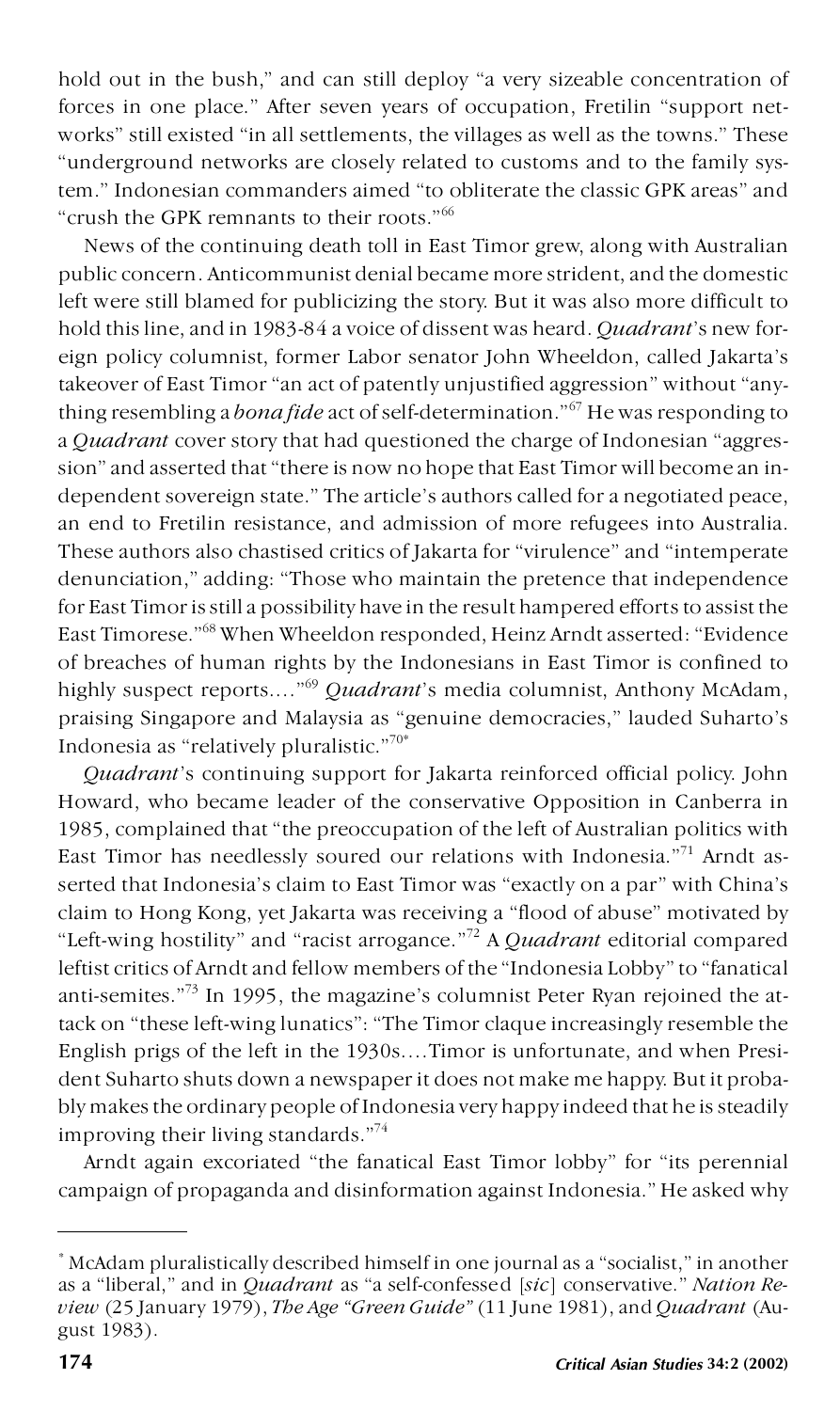hold out in the bush," and can still deploy "a very sizeable concentration of forces in one place." After seven years of occupation, Fretilin "support net works" still existed "in all settlements, the villages as well as the towns." These "underground networks are closely related to customs and to the family system." Indonesian commanders aimed "to obliterate the classic GPK areas" and "crush the GPK remnants to their roots." 66

News of the continuing death toll in East Timor grew, along with Australian public concern. Anticommunist denial became more strident, and the domestic left were still blamed for publicizing the story. But it was also more difficult to hold this line, and in 1983-84 a voice of dissent was heard. *Quadrant*'s new foreign policy columnist, former Labor senator John Wheeldon, called Jakarta's takeover of East Timor "an act of patently unjustified aggression" without "anything resembling a *bona fide* act of self-determination." <sup>67</sup> He was responding to a *Quadrant* cover story that had questioned the charge of Indonesian "aggression" and asserted that "there is now no hope that East Timor will become an in dependent sovereign state." The article's authors called for a negotiated peace, an end to Fretilin resistance, and admission of more refugees into Australia. These authors also chastised critics of Jakarta for "virulence" and "intemperate denunciation," adding: "Those who maintain the pretence that independence for East Timor is still a possibility have in the result hampered efforts to assist the East Timorese." <sup>68</sup> When Wheeldon responded, Heinz Arndt asserted: "Evidence of breaches of human rights by the Indonesians in East Timor is confined to highly suspect reports.…" <sup>69</sup> *Quadrant*'s media columnist, Anthony McAdam, praising Singapore and Malaysia as "genuine democracies," lauded Suharto's Indonesia as "relatively pluralistic." 70\*

*Quadrant*'s continuing support for Jakarta reinforced official policy. John Howard, who became leader of the conservative Opposition in Canberra in 1985, complained that "the preoccupation of the left of Australian politics with East Timor has needlessly soured our relations with Indonesia."<sup>71</sup> Arndt asserted that Indonesia's claim to East Timor was "exactly on a par" with China's claim to Hong Kong, yet Jakarta was receiving a "flood of abuse" motivated by "Left-wing hostility" and "racist arrogance." <sup>72</sup> A *Quadrant* editorial compared leftist critics of Arndt and fellow members of the "Indonesia Lobby" to "fanatical anti-semites." <sup>73</sup> In 1995, the magazine's columnist Peter Ryan rejoined the attack on "these left-wing lunatics": "The Timor claque increasingly resemble the English prigs of the left in the 1930s.…Timor is unfortunate, and when Presi dent Suharto shuts down a newspaper it does not make me happy. But it proba bly makes the ordinary people of Indonesia very happy indeed that he is steadily improving their living standards."<sup>74</sup>

Arndt again excoriated "the fanatical East Timor lobby" for "its perennial campaign of propaganda and disinformation against Indonesia." He asked why

<sup>\*</sup> McAdam pluralistically described himself in one journal as a "socialist," in another as a "liberal," and in *Quadrant* as "a self-confessed [*sic*] conservative." *Nation Review* (25 January 1979), *The Age "Green Guide"* (11 June 1981), and *Quadrant* (August 1983).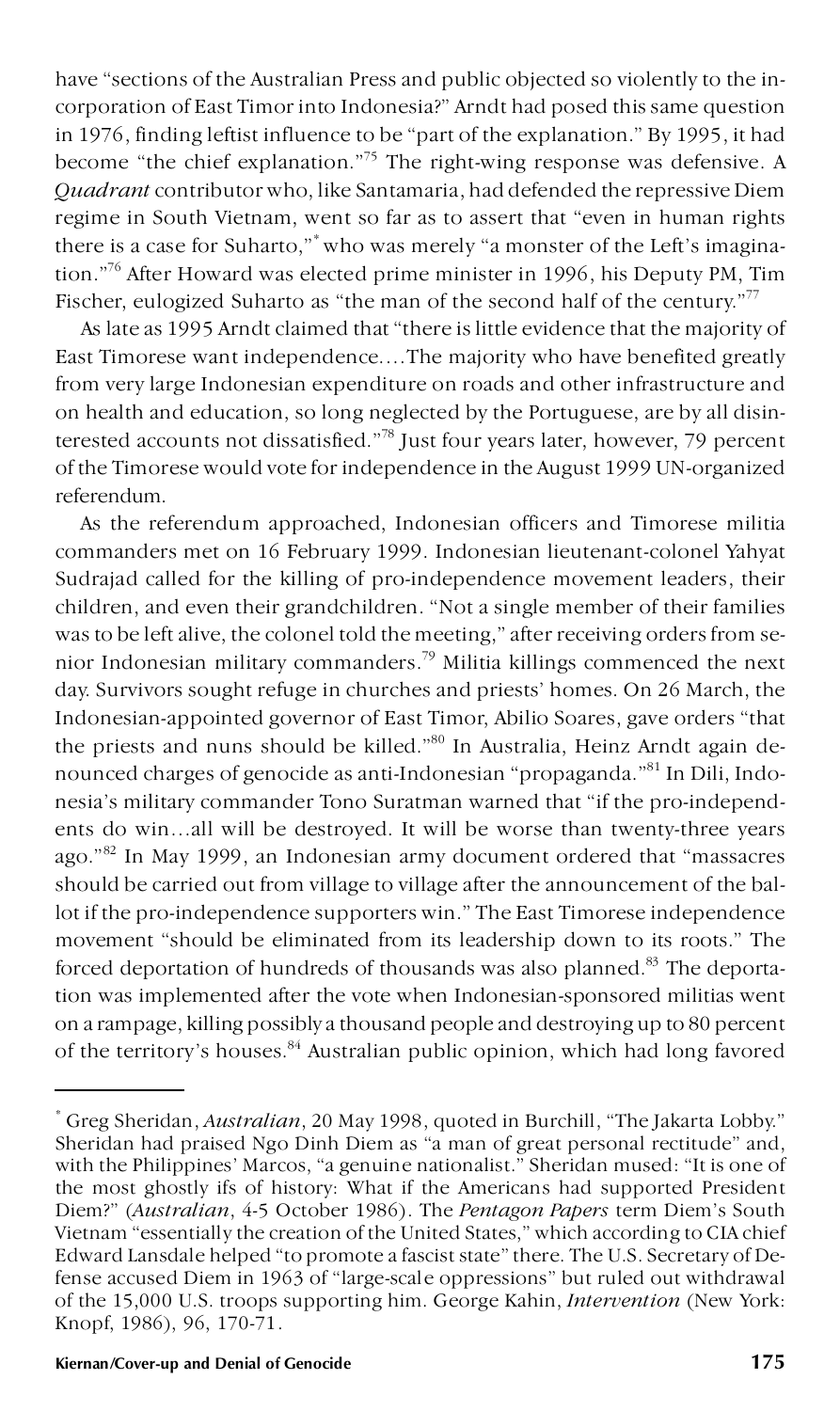have "sections of the Australian Press and public objected so violently to the in corporation of East Timor into Indonesia?" Arndt had posed this same question in 1976, finding leftist influence to be "part of the explanation." By 1995, it had become "the chief explanation." <sup>75</sup> The right-wing response was defensive. A *Quadrant* contributor who, like Santamaria, had defended the repressive Diem regime in South Vietnam, went so far as to assert that "even in human rights there is a case for Suharto," \* who was merely "a monster of the Left's imagination."<sup>76</sup> After Howard was elected prime minister in 1996, his Deputy PM, Tim Fischer, eulogized Suharto as "the man of the second half of the century."<sup>77</sup>

As late as 1995 Arndt claimed that "there is little evidence that the majority of East Timorese want independence.…The majority who have benefited greatly from very large Indonesian expenditure on roads and other infrastructure and on health and education, so long neglected by the Portuguese, are by all disinterested accounts not dissatisfied." <sup>78</sup> Just four years later, however, 79 percent of the Timorese would vote for independence in the August 1999 UN-organized referendum.

As the referendum approached, Indonesian officers and Timorese militia commanders met on 16 February 1999. Indonesian lieutenant-colonel Yahyat Sudrajad called for the killing of pro-independence movement leaders, their children, and even their grandchildren. "Not a single member of their families was to be left alive, the colonel told the meeting," after receiving orders from se nior Indonesian military commanders.<sup>79</sup> Militia killings commenced the next day. Survivors sought refuge in churches and priests' homes. On 26 March, the Indonesian-appointed governor of East Timor, Abilio Soares, gave orders "that the priests and nuns should be killed." <sup>80</sup> In Australia, Heinz Arndt again de nounced charges of genocide as anti-Indonesian "propaganda." <sup>81</sup> In Dili, Indo nesia's military commander Tono Suratman warned that "if the pro-independ ents do win…all will be destroyed. It will be worse than twenty-three years ago."<sup>82</sup> In May 1999, an Indonesian army document ordered that "massacres should be carried out from village to village after the announcement of the ballot if the pro-independence supporters win." The East Timorese independence movement "should be eliminated from itsleadership down to its roots." The forced deportation of hundreds of thousands was also planned.<sup>83</sup> The deportation was implemented after the vote when Indonesian-sponsored militias went on a rampage, killing possibly a thousand people and destroying up to 80 percent of the territory's houses.<sup>84</sup> Australian public opinion, which had long favored

<sup>\*</sup> Greg Sheridan, *Australian*, 20 May 1998, quoted in Burchill, "The Jakarta Lobby." Sheridan had praised Ngo Dinh Diem as "a man of great personal rectitude" and, with the Philippines' Marcos, "a genuine nationalist." Sheridan mused: "It is one of the most ghostly ifs of history: What if the Americans had supported President Diem?" (*Australian*, 4-5 October 1986). The *Pentagon Papers* term Diem's South Vietnam "essentially the creation of the United States," which according to CIA chief Edward Lansdale helped "to promote a fascist state" there. The U.S. Secretary of Defense accused Diem in 1963 of "large-scale oppressions" but ruled out withdrawal of the 15,000 U.S. troops supporting him. George Kahin, *Intervention* (New York: Knopf, 1986), 96, 170-71.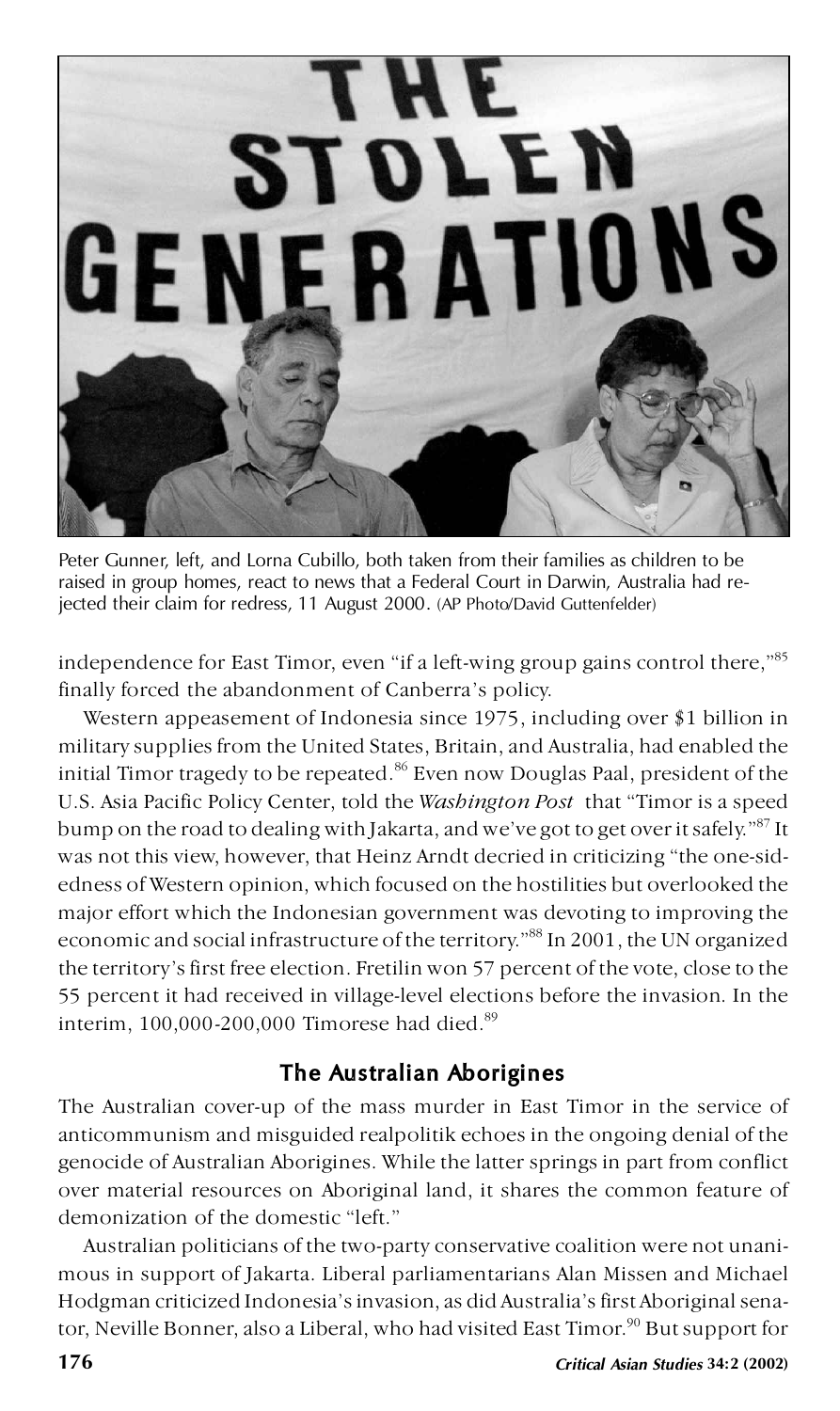

Peter Gunner, left, and Lorna Cubillo, both taken from their families as children to be raised in group homes, react to news that a Federal Court in Darwin, Australia had rejected their claim for redress, 11 August 2000. (AP Photo/David Guttenfelder)

independence for East Timor, even "if a left-wing group gains control there," 85 finally forced the abandonment of Canberra's policy.

Western appeasement of Indonesia since 1975, including over \$1 billion in military supplies from the United States, Britain, and Australia, had enabled the initial Timor tragedy to be repeated.<sup>86</sup> Even now Douglas Paal, president of the U.S. Asia Pacific Policy Center, told the *Washington Post* that "Timor is a speed bump on the road to dealing with Jakarta, and we've got to get over it safely."<sup>87</sup> It was not this view, however, that Heinz Arndt decried in criticizing "the one-sid edness of Western opinion, which focused on the hostilities but overlooked the major effort which the Indonesian government was devoting to improving the economic and social infrastructure of the territory."<sup>88</sup> In 2001, the UN organized the territory's first free election. Fretilin won 57 percent of the vote, close to the 55 percent it had received in village-level elections before the invasion. In the interim, 100,000-200,000 Timorese had died.<sup>89</sup>

#### The Australian Aborigines

The Australian cover-up of the mass murder in East Timor in the service of anticommunism and misguided realpolitik echoes in the ongoing denial of the genocide of Australian Aborigines. While the latter springs in part from conflict over material resources on Aboriginal land, it shares the common feature of demonization of the domestic "left."

Australian politicians of the two-party conservative coalition were not unani mous in support of Jakarta. Liberal parliamentarians Alan Missen and Michael Hodgman criticized Indonesia's invasion, as did Australia's first Aboriginal senator, Neville Bonner, also a Liberal, who had visited East Timor.<sup>90</sup> But support for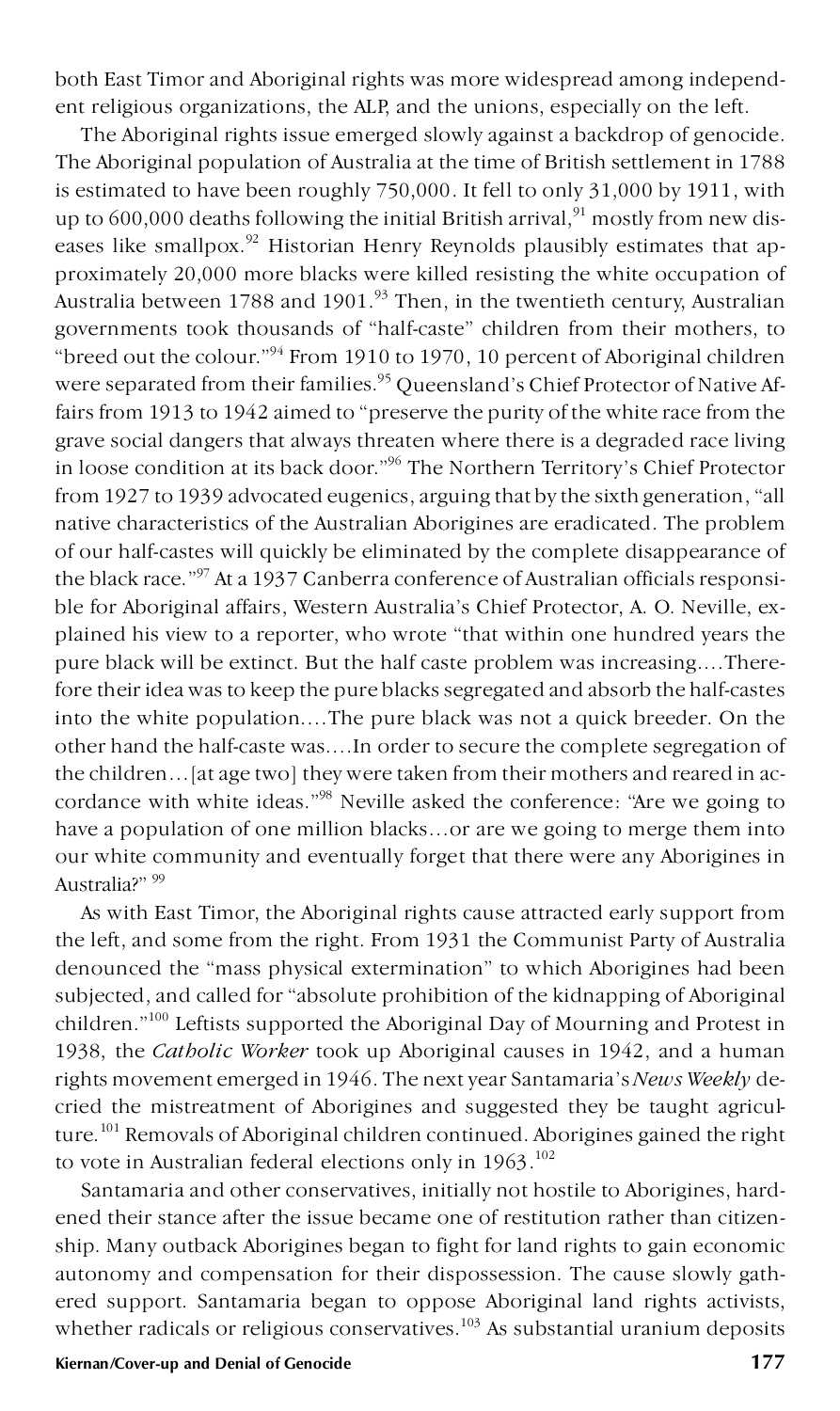both East Timor and Aboriginal rights was more widespread among independ ent religious organizations, the ALP, and the unions, especially on the left.

The Aboriginal rights issue emerged slowly against a backdrop of genocide. The Aboriginal population of Australia at the time of British settlement in 1788 is estimated to have been roughly 750,000. It fell to only 31,000 by 1911, with up to  $600,000$  deaths following the initial British arrival,  $91$  mostly from new diseases like smallpox. $92$  Historian Henry Reynolds plausibly estimates that approximately 20,000 more blacks were killed resisting the white occupation of Australia between 1788 and 1901. $93$  Then, in the twentieth century, Australian governments took thousands of "half-caste" children from their mothers, to "breed out the colour." $^{94}$  From 1910 to 1970, 10 percent of Aboriginal children were separated from their families.<sup>95</sup> Queensland's Chief Protector of Native Affairs from 1913 to 1942 aimed to "preserve the purity of the white race from the grave social dangers that always threaten where there is a degraded race living in loose condition at its back door." <sup>96</sup> The Northern Territory's Chief Protector from 1927 to 1939 advocated eugenics, arguing that by the sixth generation, "all native characteristics of the Australian Aborigines are eradicated. The problem of our half-castes will quickly be eliminated by the complete disappearance of the black race." <sup>97</sup> At a 1937 Canberra conference of Australian officials responsi ble for Aboriginal affairs, Western Australia's Chief Protector, A. O. Neville, ex plained his view to a reporter, who wrote "that within one hundred years the pure black will be extinct. But the half caste problem was increasing.…Therefore their idea was to keep the pure blacks segregated and absorb the half-castes into the white population.…The pure black was not a quick breeder. On the other hand the half-caste was.…In order to secure the complete segregation of the children…[at age two] they were taken from their mothers and reared in ac cordance with white ideas." <sup>98</sup> Neville asked the conference: "Are we going to have a population of one million blacks...or are we going to merge them into our white community and eventually forget that there were any Aborigines in Australia?" <sup>99</sup>

As with East Timor, the Aboriginal rights cause attracted early support from the left, and some from the right. From 1931 the Communist Party of Australia denounced the "mass physical extermination" to which Aborigines had been subjected, and called for "absolute prohibition of the kidnapping of Aboriginal children."<sup>100</sup> Leftists supported the Aboriginal Day of Mourning and Protest in 1938, the *Catholic Worker* took up Aboriginal causes in 1942, and a human rights movement emerged in 1946. The next year Santamaria's *News Weekly* decried the mistreatment of Aborigines and suggested they be taught agriculture.<sup>101</sup> Removals of Aboriginal children continued. Aborigines gained the right to vote in Australian federal elections only in  $1963$ <sup>102</sup>

Santamaria and other conservatives, initially not hostile to Aborigines, hard ened their stance after the issue became one of restitution rather than citizenship. Many outback Aborigines began to fight for land rights to gain economic autonomy and compensation for their dispossession. The cause slowly gath ered support. Santamaria began to oppose Aboriginal land rights activists, whether radicals or religious conservatives.<sup>103</sup> As substantial uranium deposits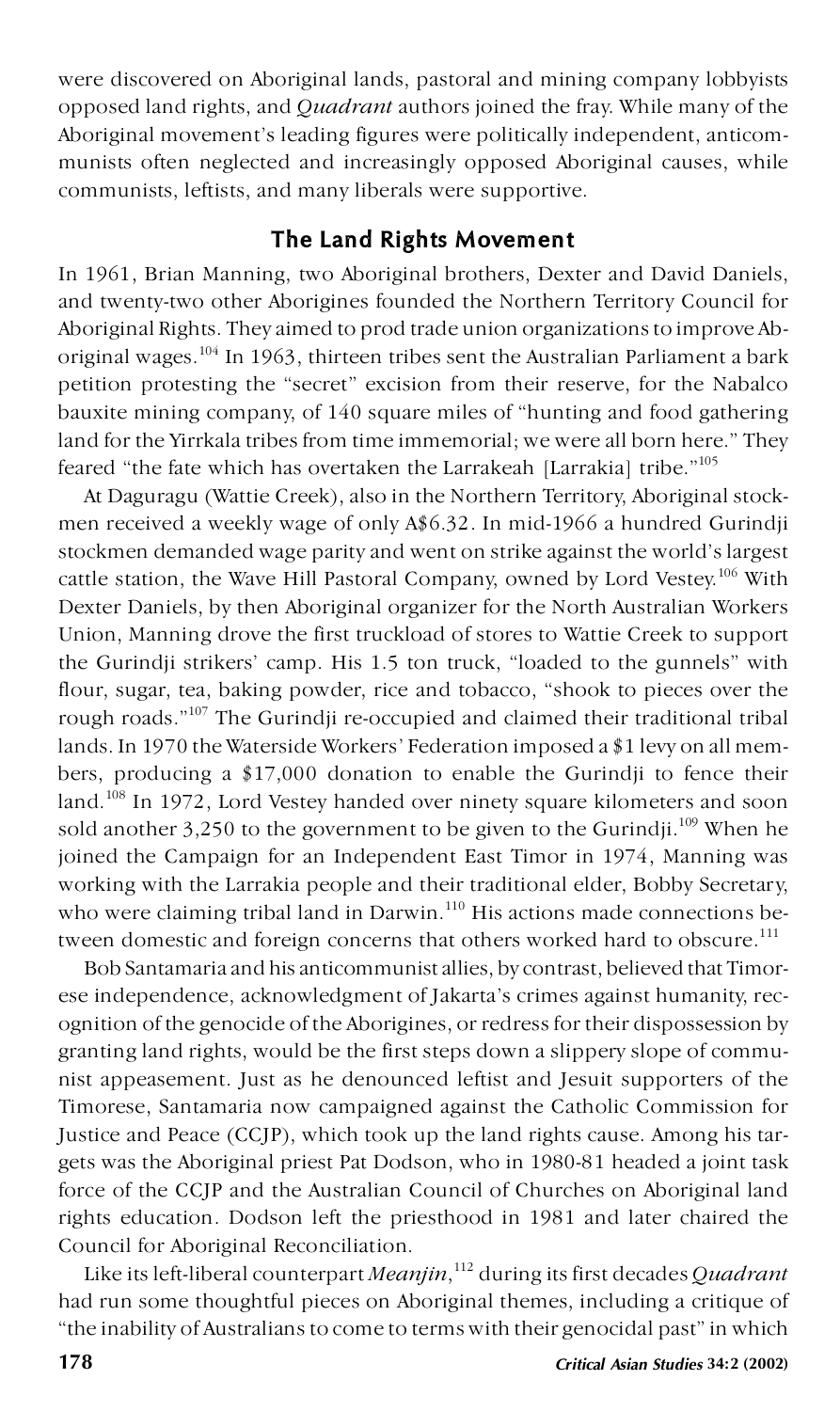were discovered on Aboriginal lands, pastoral and mining company lobbyists opposed land rights, and *Quadrant* authors joined the fray. While many of the Aboriginal movement's leading figures were politically independent, anticom munists often neglected and increasingly opposed Aboriginal causes, while communists, leftists, and many liberals were supportive.

## The Land Rights Movement

In 1961, Brian Manning, two Aboriginal brothers, Dexter and David Daniels, and twenty-two other Aborigines founded the Northern Territory Council for Aboriginal Rights. They aimed to prod trade union organizations to improve Ab original wages.<sup>104</sup> In 1963, thirteen tribes sent the Australian Parliament a bark petition protesting the "secret" excision from their reserve, for the Nabalco bauxite mining company, of 140 square miles of "hunting and food gathering land for the Yirrkala tribes from time immemorial; we were all born here." They feared "the fate which has overtaken the Larrakeah [Larrakia] tribe."<sup>105</sup>

At Daguragu (Wattie Creek), also in the Northern Territory, Aboriginal stock men received a weekly wage of only A\$6.32. In mid-1966 a hundred Gurindji stockmen demanded wage parity and went on strike against the world's largest cattle station, the Wave Hill Pastoral Company, owned by Lord Vestey.<sup>106</sup> With Dexter Daniels, by then Aboriginal organizer for the North Australian Workers Union, Manning drove the first truckload of stores to Wattie Creek to support the Gurindji strikers' camp. His 1.5 ton truck, "loaded to the gunnels" with flour, sugar, tea, baking powder, rice and tobacco, "shook to pieces over the rough roads." <sup>107</sup> The Gurindji re-occupied and claimed their traditional tribal lands. In 1970 the Waterside Workers' Federation imposed a \$1 levy on all mem bers, producing a \$17,000 donation to enable the Gurindji to fence their land.<sup>108</sup> In 1972, Lord Vestey handed over ninety square kilometers and soon sold another  $3,250$  to the government to be given to the Gurindji.<sup>109</sup> When he joined the Campaign for an Independent East Timor in 1974, Manning was working with the Larrakia people and their traditional elder, Bobby Secretary, who were claiming tribal land in Darwin.<sup>110</sup> His actions made connections between domestic and foreign concerns that others worked hard to obscure.<sup>111</sup>

Bob Santamaria and his anticommunist allies, by contrast, believed that Timor ese independence, acknowledgment of Jakarta's crimes against humanity, rec ognition of the genocide of the Aborigines, or redress for their dispossession by granting land rights, would be the first steps down a slippery slope of commu nist appeasement. Just as he denounced leftist and Jesuit supporters of the Timorese, Santamaria now campaigned against the Catholic Commission for Justice and Peace (CCJP), which took up the land rights cause. Among his tar gets was the Aboriginal priest Pat Dodson, who in 1980-81 headed a joint task force of the CCJP and the Australian Council of Churches on Aboriginal land rights education. Dodson left the priesthood in 1981 and later chaired the Council for Aboriginal Reconciliation.

Like its left-liberal counterpart *Meanjin*,<sup>112</sup> during its first decades *Quadrant* had run some thoughtful pieces on Aboriginal themes, including a critique of "the inability of Australians to come to terms with their genocidal past" in which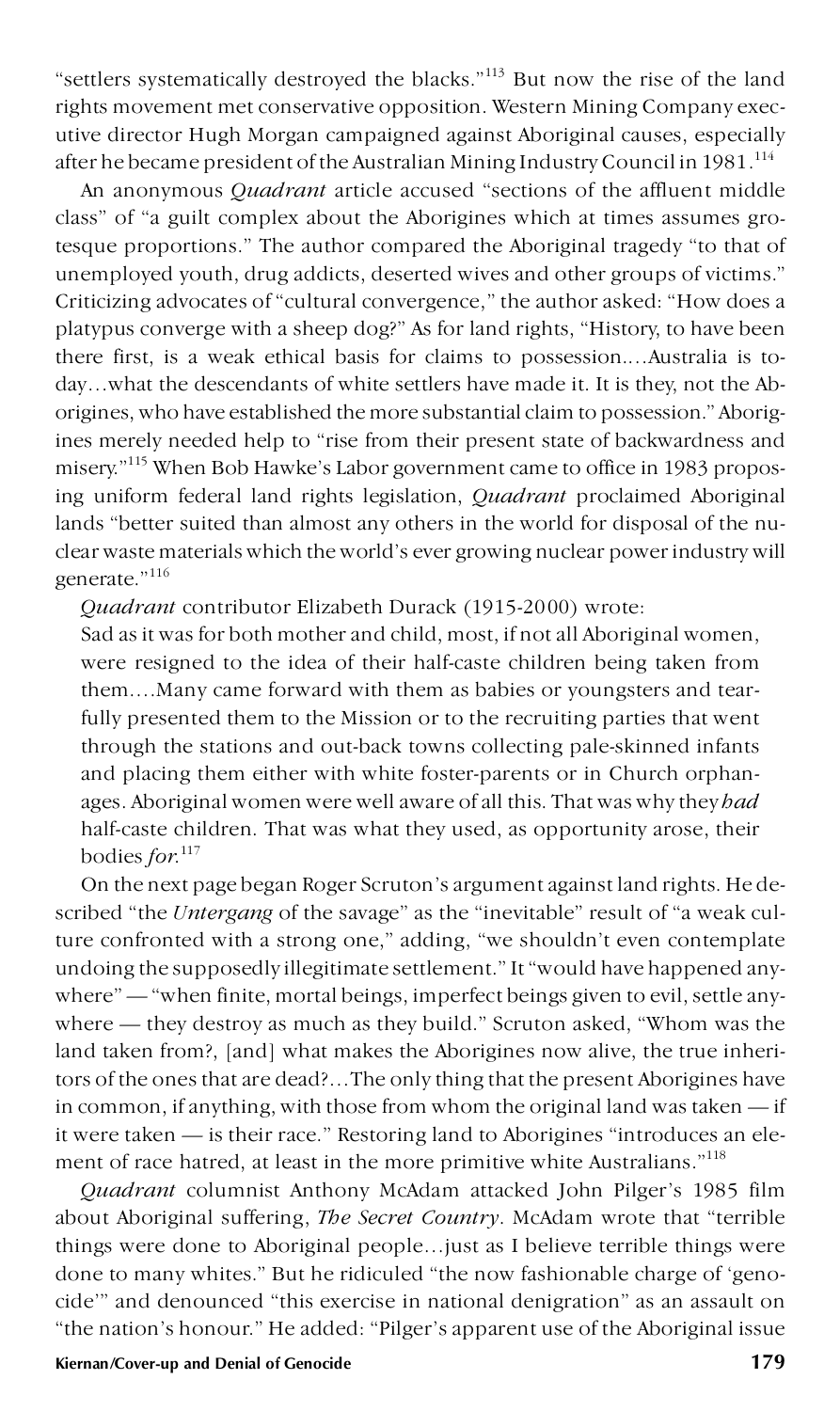"settlers systematically destroyed the blacks."<sup>113</sup> But now the rise of the land rights movement met conservative opposition. Western Mining Company exec utive director Hugh Morgan campaigned against Aboriginal causes, especially after he became president of the Australian Mining Industry Council in  $1981$ <sup>114</sup>

An anonymous *Quadrant* article accused "sections of the affluent middle class" of "a guilt complex about the Aborigines which at times assumes grotesque proportions." The author compared the Aboriginal tragedy "to that of unemployed youth, drug addicts, deserted wives and other groups of victims." Criticizing advocates of "cultural convergence," the author asked: "How does a platypus converge with a sheep dog?" As for land rights, "History, to have been there first, is a weak ethical basis for claims to possession.…Australia is to day…what the descendants of white settlers have made it. It is they, not the Ab origines, who have established the more substantial claim to possession." Aborigines merely needed help to "rise from their present state of backwardness and misery."<sup>115</sup> When Bob Hawke's Labor government came to office in 1983 proposing uniform federal land rights legislation, *Quadrant* proclaimed Aboriginal lands "better suited than almost any others in the world for disposal of the nu clear waste materials which the world's ever growing nuclear power industry will generate."<sup>116</sup>

*Quadrant* contributor Elizabeth Durack (1915-2000) wrote:

Sad as it was for both mother and child, most, if not all Aboriginal women, were resigned to the idea of their half-caste children being taken from them.…Many came forward with them as babies or youngsters and tearfully presented them to the Mission or to the recruiting parties that went through the stations and out-back towns collecting pale-skinned infants and placing them either with white foster-parents or in Church orphan ages. Aboriginal women were well aware of all this. That was why they *had* half-caste children. That was what they used, as opportunity arose, their bodies *for*.<sup>117</sup>

On the next page began Roger Scruton's argument against land rights. He described "the *Untergang* of the savage" as the "inevitable" result of "a weak culture confronted with a strong one," adding, "we shouldn't even contemplate undoing the supposedly illegitimate settlement." It "would have happened any where" — "when finite, mortal beings, imperfect beings given to evil, settle anywhere — they destroy as much as they build." Scruton asked, "Whom was the land taken from?, [and] what makes the Aborigines now alive, the true inheritors of the ones that are dead?…The only thing that the present Aborigines have in common, if anything, with those from whom the original land was taken — if it were taken — is their race." Restoring land to Aborigines "introduces an ele ment of race hatred, at least in the more primitive white Australians."<sup>118</sup>

*Quadrant* columnist Anthony McAdam attacked John Pilger's 1985 film about Aboriginal suffering, *The Secret Country*. McAdam wrote that "terrible things were done to Aboriginal people…just as I believe terrible things were done to many whites." But he ridiculed "the now fashionable charge of 'geno cide'" and denounced "this exercise in national denigration" as an assault on "the nation's honour." He added: "Pilger's apparent use of the Aboriginal issue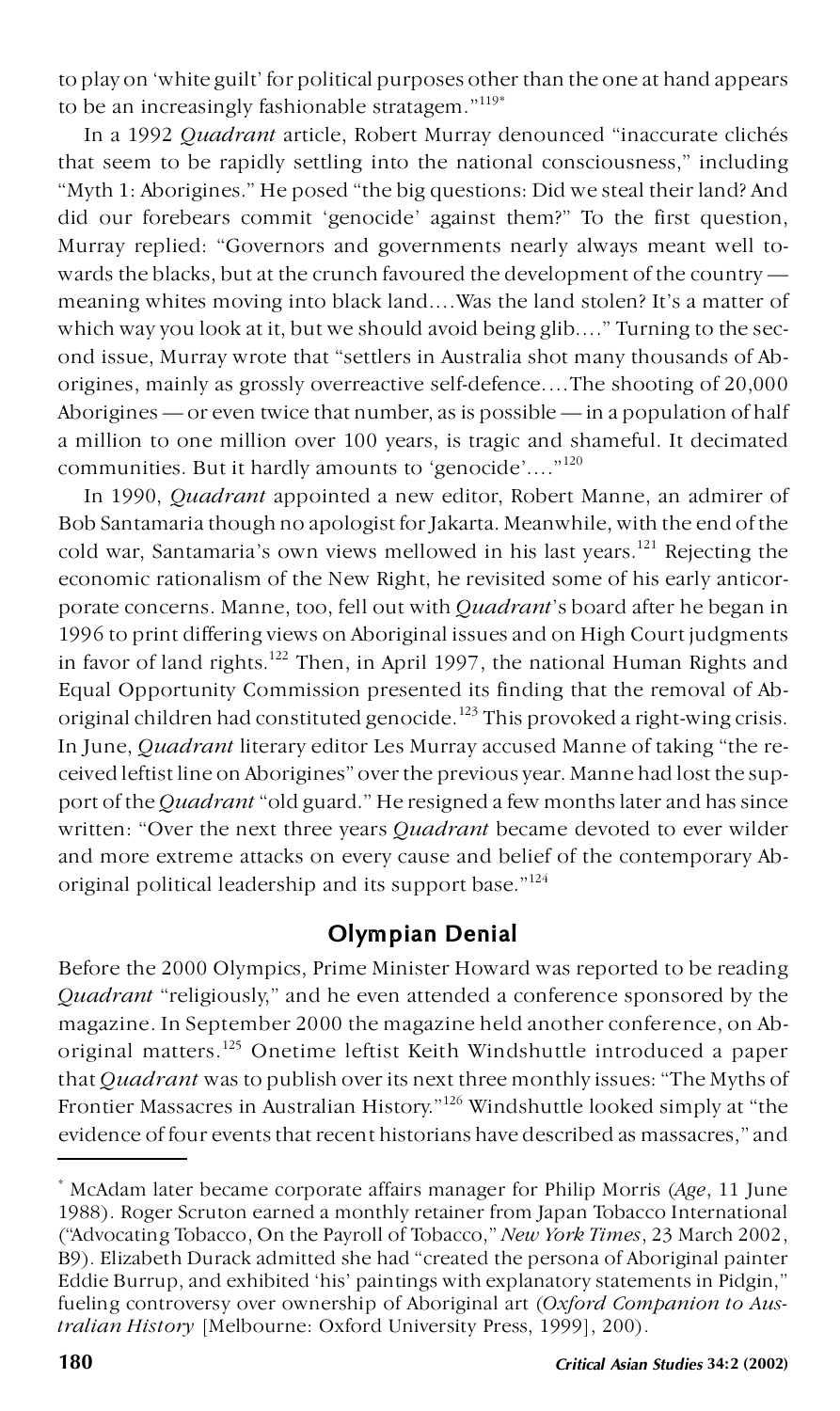to play on 'white guilt' for political purposes other than the one at hand appears to be an increasingly fashionable stratagem." 119\*

In a 1992 *Quadrant* article, Robert Murray denounced "inaccurate clichés that seem to be rapidly settling into the national consciousness," including "Myth 1: Aborigines." He posed "the big questions: Did we steal their land? And did our forebears commit 'genocide' against them?" To the first question, Murray replied: "Governors and governments nearly always meant well to wards the blacks, but at the crunch favoured the development of the country meaning whites moving into black land.…Was the land stolen? It's a matter of which way you look at it, but we should avoid being glib.…" Turning to the sec ond issue, Murray wrote that "settlers in Australia shot many thousands of Ab origines, mainly as grossly overreactive self-defence.…The shooting of 20,000 Aborigines — or even twice that number, as is possible — in a population of half a million to one million over 100 years, is tragic and shameful. It decimated communities. But it hardly amounts to 'genocide'.…" 120

In 1990, *Quadrant* appointed a new editor, Robert Manne, an admirer of Bob Santamaria though no apologist for Jakarta. Meanwhile, with the end of the cold war, Santamaria's own views mellowed in his last years.<sup>121</sup> Rejecting the economic rationalism of the New Right, he revisited some of his early anticor porate concerns. Manne, too, fell out with *Quadrant*'s board after he began in 1996 to print differing views on Aboriginal issues and on High Court judgments in favor of land rights.<sup>122</sup> Then, in April 1997, the national Human Rights and Equal Opportunity Commission presented its finding that the removal of Ab original children had constituted genocide.<sup>123</sup> This provoked a right-wing crisis. In June, *Quadrant* literary editor Les Murray accused Manne of taking "the re ceived leftist line on Aborigines" over the previous year. Manne had lost the sup port of the *Quadrant* "old guard." He resigned a few months later and has since written: "Over the next three years *Quadrant* became devoted to ever wilder and more extreme attacks on every cause and belief of the contemporary Ab original political leadership and its support base."<sup>124</sup>

### Olympian Denial

Before the 2000 Olympics, Prime Minister Howard was reported to be reading *Quadrant* "religiously," and he even attended a conference sponsored by the magazine. In September 2000 the magazine held another conference, on Ab original matters.<sup>125</sup> Onetime leftist Keith Windshuttle introduced a paper that *Quadrant* was to publish over its next three monthly issues: "The Myths of Frontier Massacres in Australian History."<sup>126</sup> Windshuttle looked simply at "the evidence of four events that recent historians have described as massacres," and

<sup>\*</sup> McAdam later became corporate affairs manager for Philip Morris (*Age*, 11 June 1988). Roger Scruton earned a monthly retainer from Japan Tobacco International ("Advocating Tobacco, On the Payroll of Tobacco," *New York Times*, 23 March 2002, B9). Elizabeth Durack admitted she had "created the persona of Aboriginal painter Eddie Burrup, and exhibited 'his' paintings with explanatory statements in Pidgin," fueling controversy over ownership of Aboriginal art (*Oxford Companion to Australian History* [Melbourne: Oxford University Press, 1999], 200).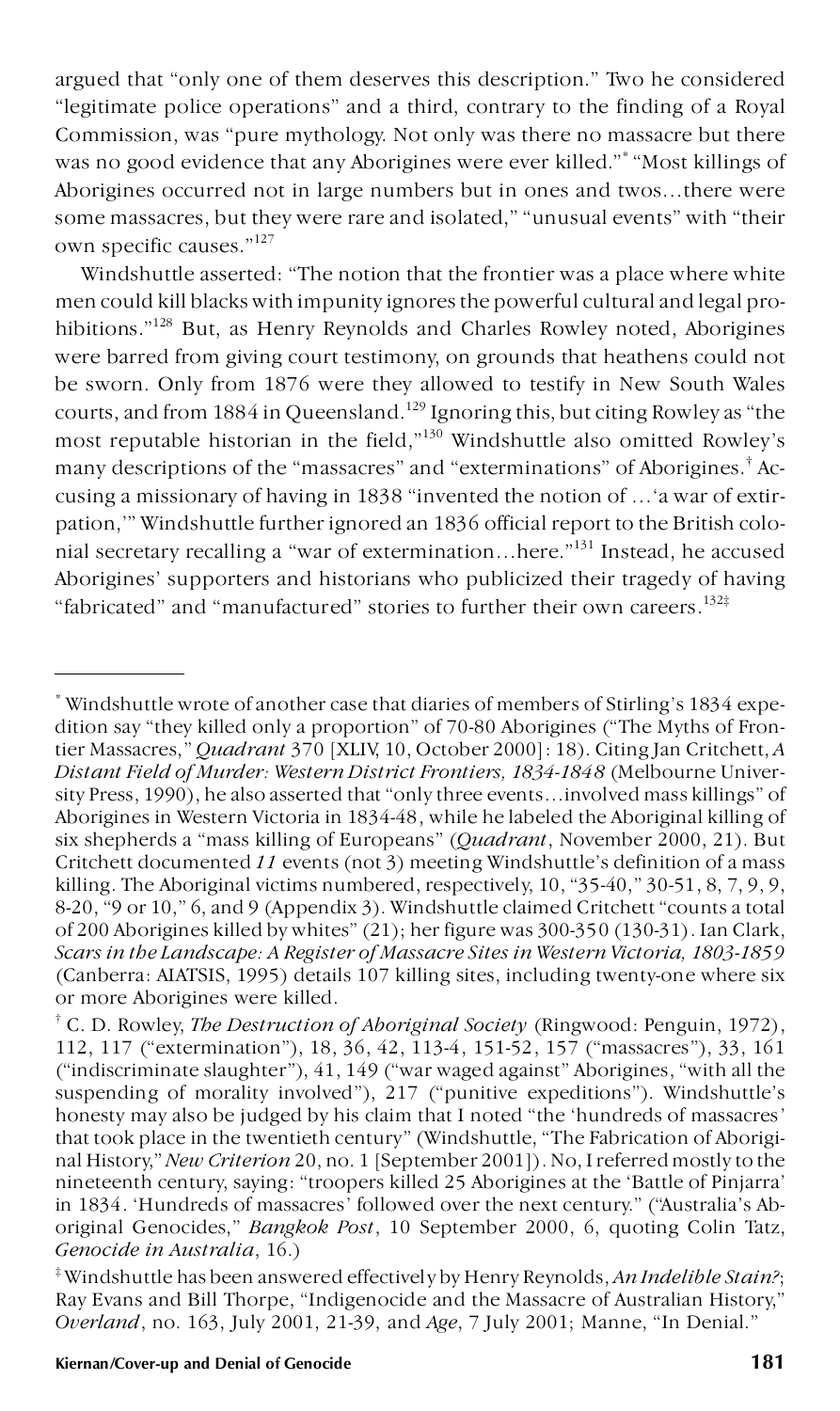argued that "only one of them deserves this description." Two he considered "legitimate police operations" and a third, contrary to the finding of a Royal Commission, was "pure mythology. Not only was there no massacre but there was no good evidence that any Aborigines were ever killed." \* "Most killings of Aborigines occurred not in large numbers but in ones and twos…there were some massacres, but they were rare and isolated," "unusual events" with "their own specific causes."<sup>127</sup>

Windshuttle asserted: "The notion that the frontier was a place where white men could kill blacks with impunity ignores the powerful cultural and legal pro hibitions." <sup>128</sup> But, as Henry Reynolds and Charles Rowley noted, Aborigines were barred from giving court testimony, on grounds that heathens could not be sworn. Only from 1876 were they allowed to testify in New South Wales courts, and from 1884 in Queensland.<sup>129</sup> Ignoring this, but citing Rowley as "the most reputable historian in the field," <sup>130</sup> Windshuttle also omitted Rowley's many descriptions of the "massacres" and "exterminations" of Aborigines.† Accusing a missionary of having in 1838 "invented the notion of …'a war of extir pation,'" Windshuttle further ignored an 1836 official report to the British colo nial secretary recalling a "war of extermination…here." <sup>131</sup> Instead, he accused Aborigines' supporters and historians who publicized their tragedy of having "fabricated" and "manufactured" stories to further their own careers.<sup>132‡</sup>

<sup>\*</sup> Windshuttle wrote of another case that diaries of members of Stirling's 1834 expe dition say "they killed only a proportion" of 70-80 Aborigines ("The Myths of Frontier Massacres," *Quadrant* 370 [XLIV, 10, October 2000]: 18). Citing Jan Critchett, *A Distant Field of Murder: Western District Frontiers, 1834-184 8* (Melbourne Univer sity Press, 1990), he also asserted that "only three events…involved mass killings" of Aborigines in Western Victoria in 1834-48, while he labeled the Aboriginal killing of six shepherds a "mass killing of Europeans" (*Quadrant*, November 2000, 21). But Critchett documented *11* events (not 3) meeting Windshuttle's definition of a mass killing. The Aboriginal victims numbered, respectively, 10, "35-40," 30-51, 8, 7, 9, 9, 8-20, "9 or 10," 6, and 9 (Appendix 3). Windshuttle claimed Critchett "counts a total of 200 Aborigines killed by whites" (21); her figure was 300-350 (130-31). Ian Clark, *Scars in the Landscape: A Register of Massacre Sites in Western Victoria, 1803-185 9* (Canberra: AIATSIS, 1995) details 107 killing sites, including twenty-one where six or more Aborigines were killed.

<sup>&</sup>lt;sup>†</sup> C. D. Rowley, *The Destruction of Aboriginal Society* (Ringwood: Penguin, 1972), 112, 117 ("extermination"), 18, 36, 42, 113-4, 151-52, 157 ("massacres"), 33, 161 ("indiscriminate slaughter"), 41, 149 ("war waged against" Aborigines, "with all the suspending of morality involved"), 217 ("punitive expeditions"). Windshuttle's honesty may also be judged by his claim that I noted "the 'hundreds of massacres' that took place in the twentieth century" (Windshuttle, "The Fabrication of Aborigi nal History," *New Criterion* 20, no. 1 [September 2001]). No, I referred mostly to the nineteenth century, saying: "troopers killed 25 Aborigines at the 'Battle of Pinjarra' in 1834. 'Hundreds of massacres' followed over the next century." ("Australia's Ab original Genocides," *Bangkok Post*, 10 September 2000, 6, quoting Colin Tatz, *Genocide in Australia*, 16.)

<sup>‡</sup> Windshuttle has been answered effectively by Henry Reynolds, *An Indelible Stain?*; Ray Evans and Bill Thorpe, "Indigenocide and the Massacre of Australian History," *Overland*, no. 163, July 2001, 21-39, and *Age*, 7 July 2001; Manne, "In Denial."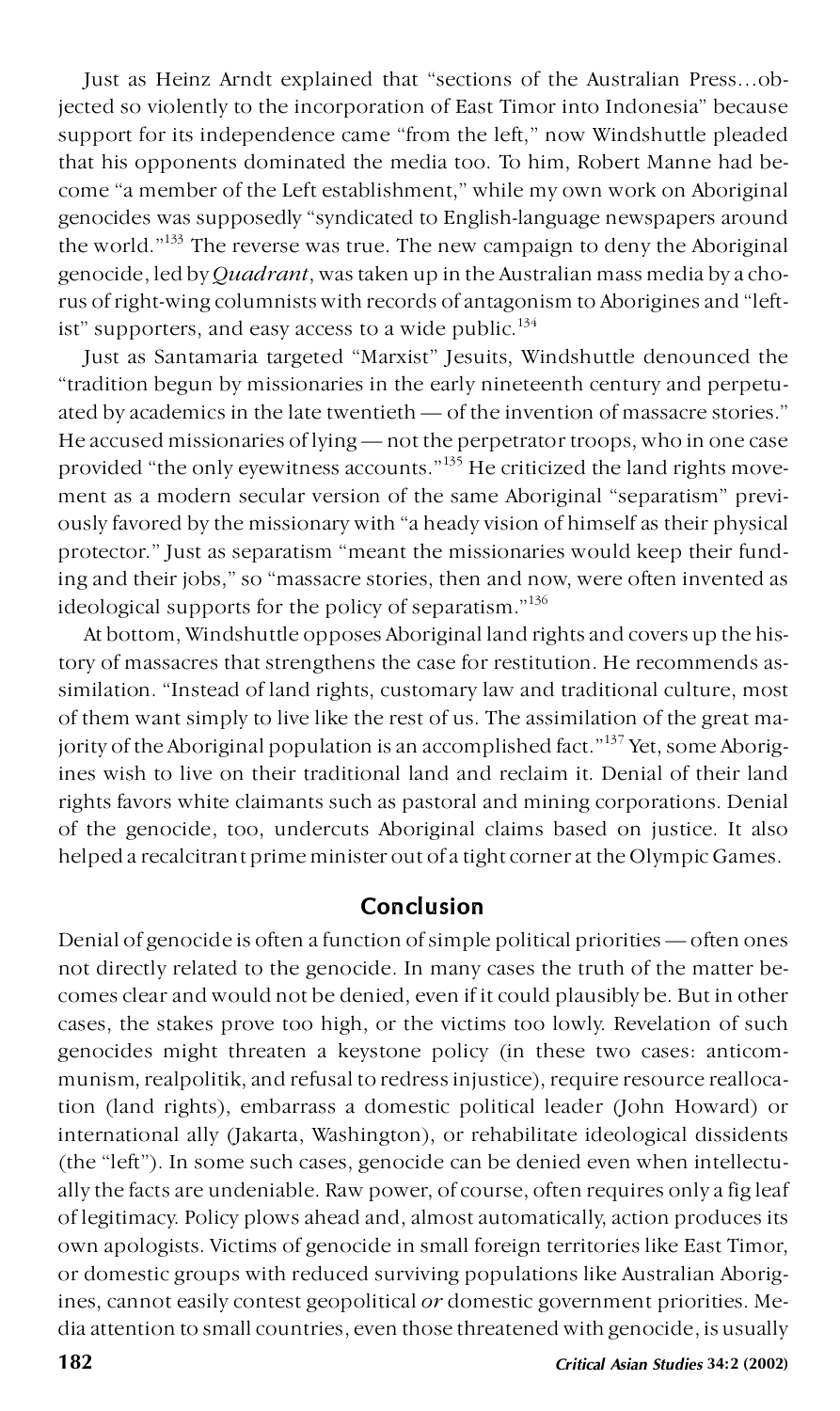Just as Heinz Arndt explained that "sections of the Australian Press…objected so violently to the incorporation of East Timor into Indonesia" because support for its independence came "from the left," now Windshuttle pleaded that his opponents dominated the media too. To him, Robert Manne had be come "a member of the Left establishment," while my own work on Aboriginal genocides was supposedly "syndicated to English-language newspapers around the world."<sup>133</sup> The reverse was true. The new campaign to deny the Aboriginal genocide, led by *Quadrant*, was taken up in the Australian mass media by a chorus of right-wing columnists with records of antagonism to Aborigines and "leftist" supporters, and easy access to a wide public. $134$ 

Just as Santamaria targeted "Marxist" Jesuits, Windshuttle denounced the "tradition begun by missionaries in the early nineteenth century and perpetu ated by academics in the late twentieth — of the invention of massacre stories." He accused missionaries of lying — not the perpetrator troops, who in one case provided "the only eyewitness accounts." <sup>135</sup> He criticized the land rights movement as a modern secular version of the same Aboriginal "separatism" previ ously favored by the missionary with "a heady vision of himself as their physical protector." Just as separatism "meant the missionaries would keep their funding and their jobs," so "massacre stories, then and now, were often invented as ideological supports for the policy of separatism." 136

At bottom, Windshuttle opposes Aboriginal land rights and covers up the history of massacres that strengthens the case for restitution. He recommends assimilation. "Instead of land rights, customary law and traditional culture, most of them want simply to live like the rest of us. The assimilation of the great majority of the Aboriginal population is an accomplished fact."<sup>137</sup> Yet, some Aborigines wish to live on their traditional land and reclaim it. Denial of their land rights favors white claimants such as pastoral and mining corporations. Denial of the genocide, too, undercuts Aboriginal claims based on justice. It also helped a recalcitrant prime minister out of a tight corner at the Olympic Games.

#### Conclusion

Denial of genocide is often a function of simple political priorities — often ones not directly related to the genocide. In many cases the truth of the matter be comes clear and would not be denied, even if it could plausibly be. But in other cases, the stakes prove too high, or the victims too lowly. Revelation of such genocides might threaten a keystone policy (in these two cases: anticom munism, realpolitik, and refusal to redress injustice), require resource reallocation (land rights), embarrass a domestic political leader (John Howard) or international ally (Jakarta, Washington), or rehabilitate ideological dissidents (the "left"). In some such cases, genocide can be denied even when intellectu ally the facts are undeniable. Raw power, of course, often requires only a fig leaf of legitimacy. Policy plows ahead and, almost automatically, action produces its own apologists. Victims of genocide in small foreign territories like East Timor, or domestic groups with reduced surviving populations like Australian Aborigines, cannot easily contest geopolitical *or* domestic government priorities. Me dia attention to small countries, even those threatened with genocide, is usually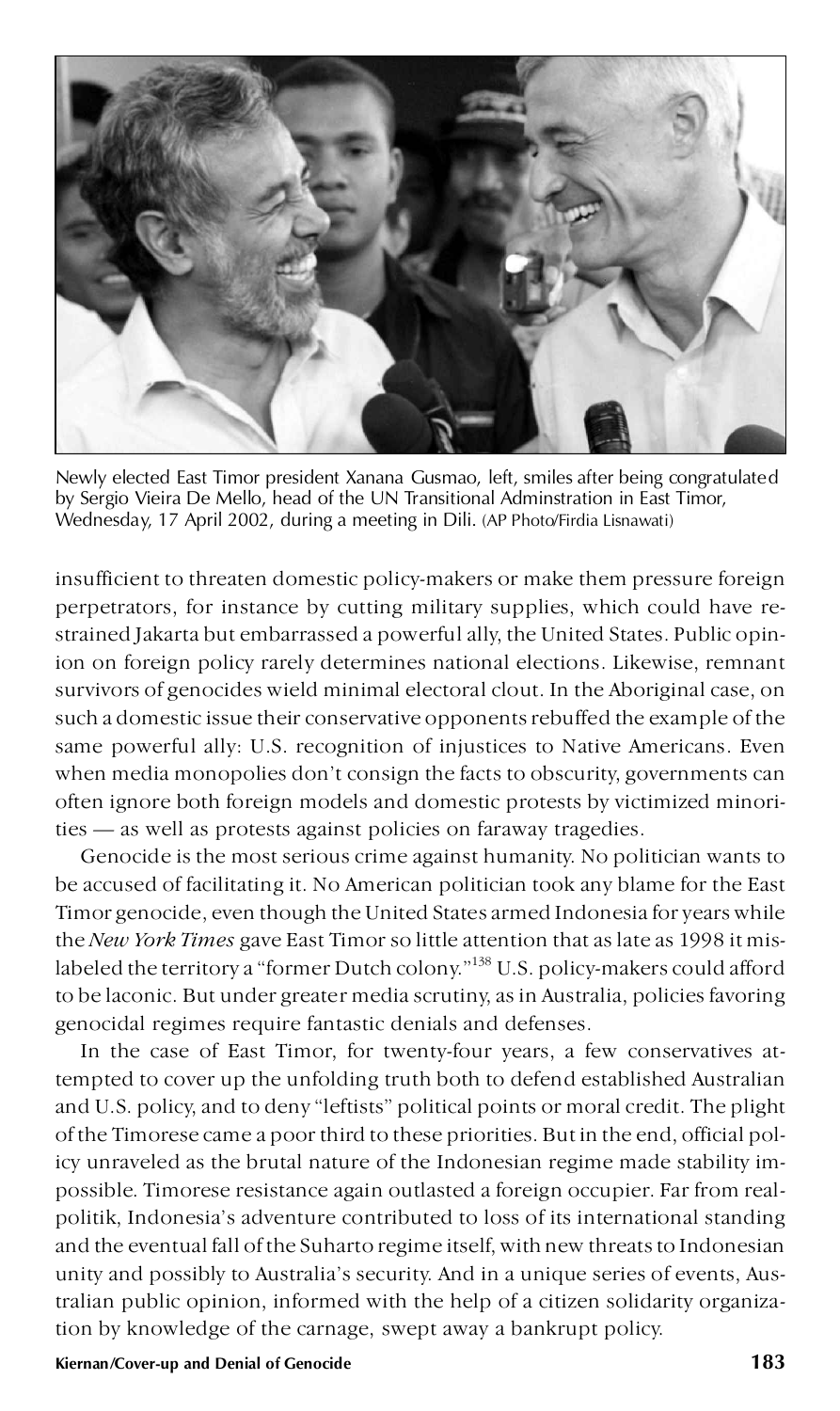

Newly elected East Timor president Xanana Gusmao, left, smiles after being congratulated by Sergio Vieira De Mello, head of the UN Transitional Adminstration in East Timor, Wednesday, 17 April 2002, during a meeting in Dili. (AP Photo/Firdia Lisnawati)

insufficient to threaten domestic policy-makers or make them pressure foreign perpetrators, for instance by cutting military supplies, which could have restrained Jakarta but embarrassed a powerful ally, the United States. Public opinion on foreign policy rarely determines national elections. Likewise, remnant survivors of genocides wield minimal electoral clout. In the Aboriginal case, on such a domestic issue their conservative opponents rebuffed the example of the same powerful ally: U.S. recognition of injustices to Native Americans. Even when media monopolies don't consign the facts to obscurity, governments can often ignore both foreign models and domestic protests by victimized minorities — as well as protests against policies on faraway tragedies.

Genocide is the most serious crime against humanity. No politician wants to be accused of facilitating it. No American politician took any blame for the East Timor genocide, even though the United States armed Indonesia for years while the *New York Times* gave East Timor so little attention that as late as 1998 it mislabeled the territory a "former Dutch colony."<sup>138</sup> U.S. policy-makers could afford to be laconic. But under greater media scrutiny, as in Australia, policies favoring genocidal regimes require fantastic denials and defenses.

In the case of East Timor, for twenty-four years, a few conservatives attempted to cover up the unfolding truth both to defend established Australian and U.S. policy, and to deny "leftists" political points or moral credit. The plight of the Timorese came a poor third to these priorities. But in the end, official policy unraveled as the brutal nature of the Indonesian regime made stability im possible. Timorese resistance again outlasted a foreign occupier. Far from real politik, Indonesia's adventure contributed to loss of its international standing and the eventual fall of the Suharto regime itself, with new threats to Indonesian unity and possibly to Australia's security. And in a unique series of events, Australian public opinion, informed with the help of a citizen solidarity organization by knowledge of the carnage, swept away a bankrupt policy.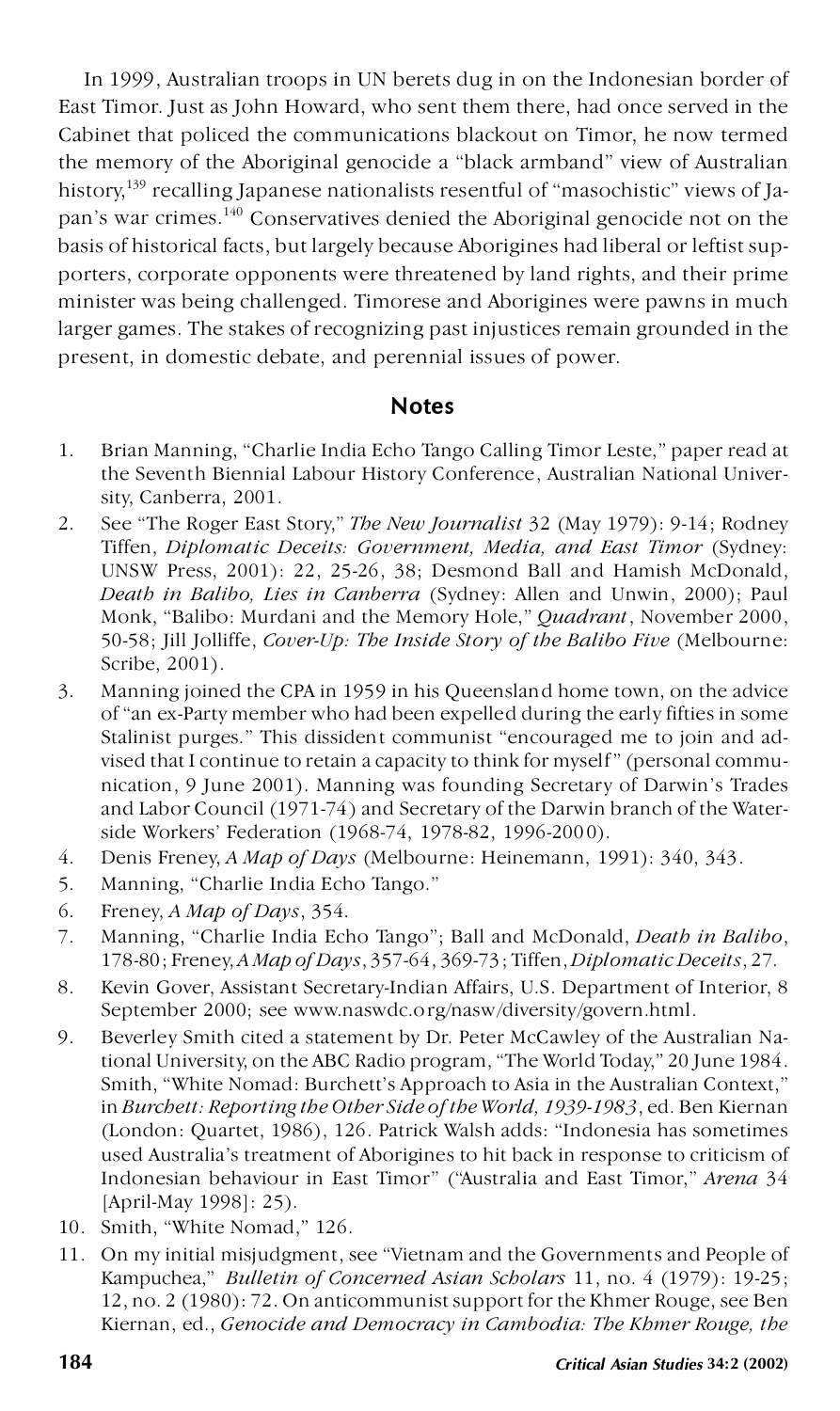In 1999, Australian troops in UN berets dug in on the Indonesian border of East Timor. Just as John Howard, who sent them there, had once served in the Cabinet that policed the communications blackout on Timor, he now termed the memory of the Aboriginal genocide a "black armband" view of Australian history,<sup>139</sup> recalling Japanese nationalists resentful of "masochistic" views of Japan's war crimes.<sup>140</sup> Conservatives denied the Aboriginal genocide not on the basis of historical facts, but largely because Aborigines had liberal or leftist sup porters, corporate opponents were threatened by land rights, and their prime minister was being challenged. Timorese and Aborigines were pawns in much larger games. The stakes of recognizing past injustices remain grounded in the present, in domestic debate, and perennial issues of power.

#### Notes

- 1. Brian Manning, "Charlie India Echo Tango Calling Timor Leste," paper read at the Seventh Biennial Labour History Conference, Australian National Univer sity, Canberra, 2001.
- 2. See "The Roger East Story," *The New Journalist* 32 (May 1979): 9-14; Rodney Tiffen, *Diplomatic Deceits: Government, Media, and East Timor* (Sydney: UNSW Press, 2001): 22, 25-26, 38; Desmond Ball and Hamish McDonald, *Death in Balibo, Lies in Canberra* (Sydney: Allen and Unwin, 2000); Paul Monk, "Balibo: Murdani and the Memory Hole," *Quadrant*, November 2000, 50-58; Jill Jolliffe, *Cover-Up: The Inside Story of the Balibo Five* (Melbourne: Scribe, 2001).
- 3. Manning joined the CPA in 1959 in his Queensland home town, on the advice of "an ex-Party member who had been expelled during the early fifties in some Stalinist purges." This dissident communist "encouraged me to join and ad vised that I continue to retain a capacity to think for myself" (personal commu nication, 9 June 2001). Manning was founding Secretary of Darwin's Trades and Labor Council (1971-74 ) and Secretary of the Darwin branch of the Water side Workers' Federation (1968-74, 1978-82, 1996-2000).
- 4. Denis Freney, *A Map of Days* (Melbourne: Heinemann, 1991): 340, 343.
- 5. Manning, "Charlie India Echo Tango."
- 6. Freney, *A Map of Days*, 354.
- 7. Manning, "Charlie India Echo Tango"; Ball and McDonald, *Death in Balibo*, 178-80; Freney, *A Map of Days*, 357-64, 369-73; Tiffen, *Diplomatic Deceits*, 27.
- 8. Kevin Gover, Assistant Secretary-Indian Affairs, U.S. Department of Interior, 8 September 2000; see www.naswdc.org/nasw/diversity/govern.html.
- 9. Beverley Smith cited a statement by Dr. Peter McCawley of the Australian National University, on the ABC Radio program, "The World Today," 20 June 1984. Smith, "White Nomad: Burchett's Approach to Asia in the Australian Context," in *Burchett: Reporting the Other Side of the World, 1939-198 3*, ed. Ben Kiernan (London: Quartet, 1986), 126. Patrick Walsh adds: "Indonesia has sometimes used Australia's treatment of Aborigines to hit back in response to criticism of Indonesian behaviour in East Timor" ("Australia and East Timor," *Arena* 34 [April-May 1998]: 25).
- 10. Smith, "White Nomad," 126.
- 11. On my initial misjudgment, see "Vietnam and the Governments and People of Kampuchea," *Bulletin of Concerned Asian Scholars* 11, no. 4 (1979): 19-25; 12, no. 2 (1980): 72. On anticommunist support for the Khmer Rouge, see Ben Kiernan, ed., *Genocide and Democracy in Cambodia: The Khmer Rouge, the*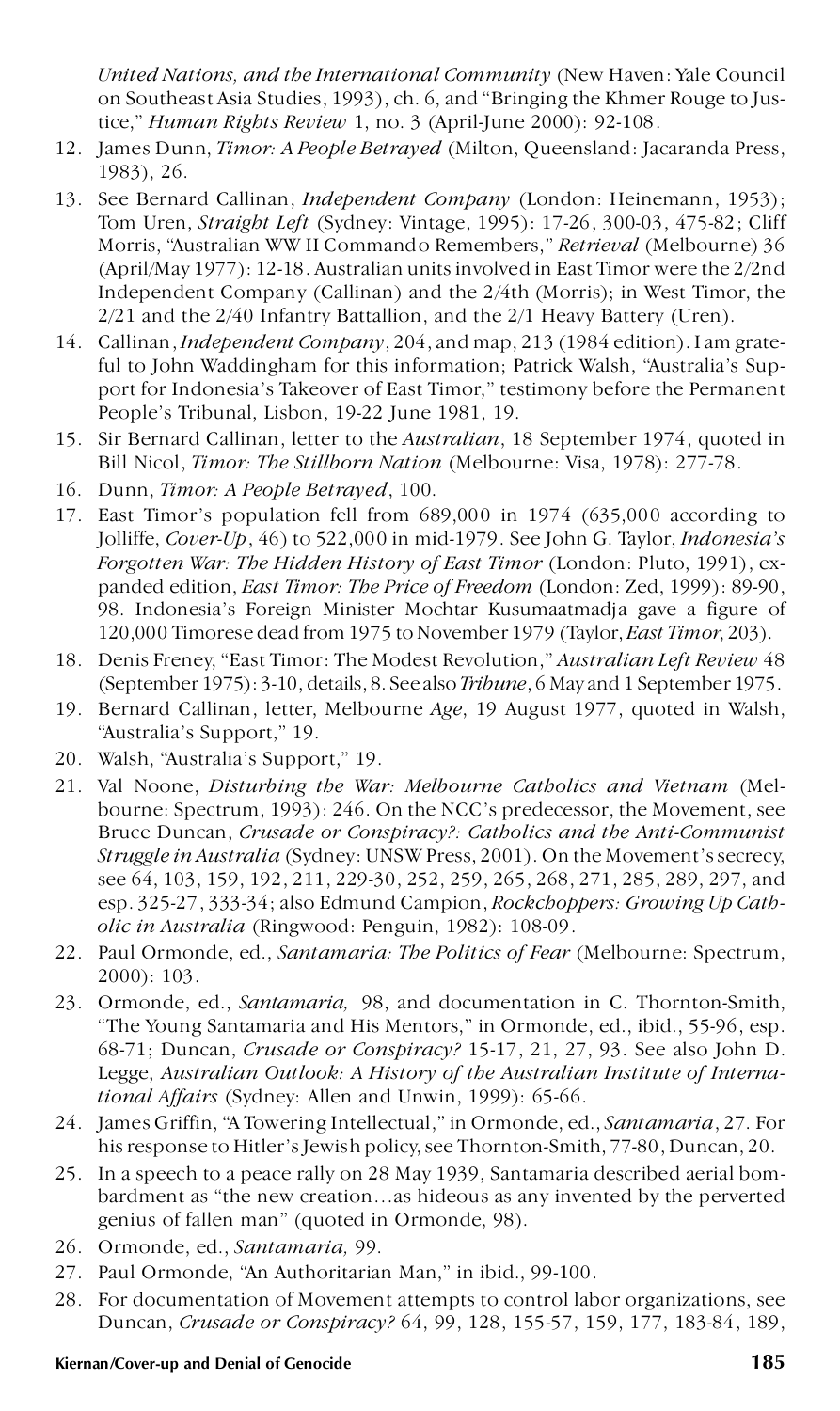*United Nations, and the International Community* (New Haven: Yale Council on Southeast Asia Studies, 1993), ch. 6, and "Bringing the Khmer Rouge to Justice," *Human Rights Review* 1, no. 3 (April-June 2000): 92-108.

- 12. James Dunn, *Timor: A People Betrayed* (Milton, Queensland: Jacaranda Press, 1983), 26.
- 13. See Bernard Callinan, *Independent Company* (London: Heinemann, 1953); Tom Uren, *Straight Left* (Sydney: Vintage, 1995): 17-26, 300-03, 475-82; Cliff Morris, "Australian WW II Commando Remembers," *Retrieval* (Melbourne) 36 (April/May 1977): 12-18. Australian units involved in East Timor were the 2/2nd Independent Company (Callinan) and the 2/4th (Morris); in West Timor, the 2/21 and the 2/40 Infantry Battallion, and the 2/1 Heavy Battery (Uren).
- 14. Callinan, *Independent Company*, 204, and map, 213 (1984 edition). I am grateful to John Waddingham for this information; Patrick Walsh, "Australia's Sup port for Indonesia's Takeover of East Timor," testimony before the Permanent People's Tribunal, Lisbon, 19-22 June 1981, 19.
- 15. Sir Bernard Callinan, letter to the *Australian*, 18 September 1974, quoted in Bill Nicol, *Timor: The Stillborn Nation* (Melbourne: Visa, 1978): 277-78.
- 16. Dunn, *Timor: A People Betrayed*, 100.
- 17. East Timor's population fell from 689,000 in 1974 (635,000 according to Jolliffe, *Cover-Up*, 46) to 522,000 in mid-1979. See John G. Taylor, *Indonesia's Forgotten War: The Hidden History of East Timor* (London: Pluto, 1991), ex panded edition, *East Timor: The Price of Freedom* (London: Zed, 1999): 89-90, 98. Indonesia's Foreign Minister Mochtar Kusumaatmadja gave a figure of 120,000 Timorese dead from 1975 to November 1979 (Taylor, *East Timor*, 203).
- 18. Denis Freney, "East Timor: The Modest Revolution," *Australian Left Review* 48 (September 1975): 3-10, details, 8. See also *Tribune*, 6 May and 1 September 1975.
- 19. Bernard Callinan, letter, Melbourne *Age*, 19 August 1977, quoted in Walsh, "Australia's Support," 19.
- 20. Walsh, "Australia's Support," 19.
- 21. Val Noone, *Disturbing the War: Melbourne Catholics and Vietnam* (Melbourne: Spectrum, 1993): 246. On the NCC's predecessor, the Movement, see Bruce Duncan, *Crusade or Conspiracy?: Catholics and the Anti-Communist Struggle in Australia* (Sydney: UNSW Press, 2001). On the Movement's secrecy, see 64, 103, 159, 192, 211, 229-30, 252, 259, 265, 268, 271, 285, 289, 297, and esp. 325-27, 333-34; also Edmund Campion, *Rockchoppers: Growing Up Cath olic in Australia* (Ringwood: Penguin, 1982): 108-09.
- 22. Paul Ormonde, ed., *Santamaria: The Politics of Fear* (Melbourne: Spectrum, 2000): 103.
- 23. Ormonde, ed., *Santamaria,* 98, and documentation in C. Thornton-Smith, "The Young Santamaria and His Mentors," in Ormonde, ed., ibid., 55-96, esp. 68-71; Duncan, *Crusade or Conspiracy?* 15-17, 21, 27, 93. See also John D. Legge, *Australian Outlook: A History of the Australian Institute of International Affairs* (Sydney: Allen and Unwin, 1999): 65-66.
- 24. James Griffin, "A Towering Intellectual," in Ormonde, ed., *Santamaria*, 27. For his response to Hitler's Jewish policy, see Thornton-Smith, 77-80, Duncan, 20.
- 25. In a speech to a peace rally on 28 May 1939, Santamaria described aerial bom bardment as "the new creation…as hideous as any invented by the perverted genius of fallen man" (quoted in Ormonde, 98).
- 26. Ormonde, ed., *Santamaria,* 99.
- 27. Paul Ormonde, "An Authoritarian Man," in ibid., 99-100.
- 28. For documentation of Movement attempts to control labor organizations, see Duncan, *Crusade or Conspiracy?* 64, 99, 128, 155-57, 159, 177, 183-84, 189,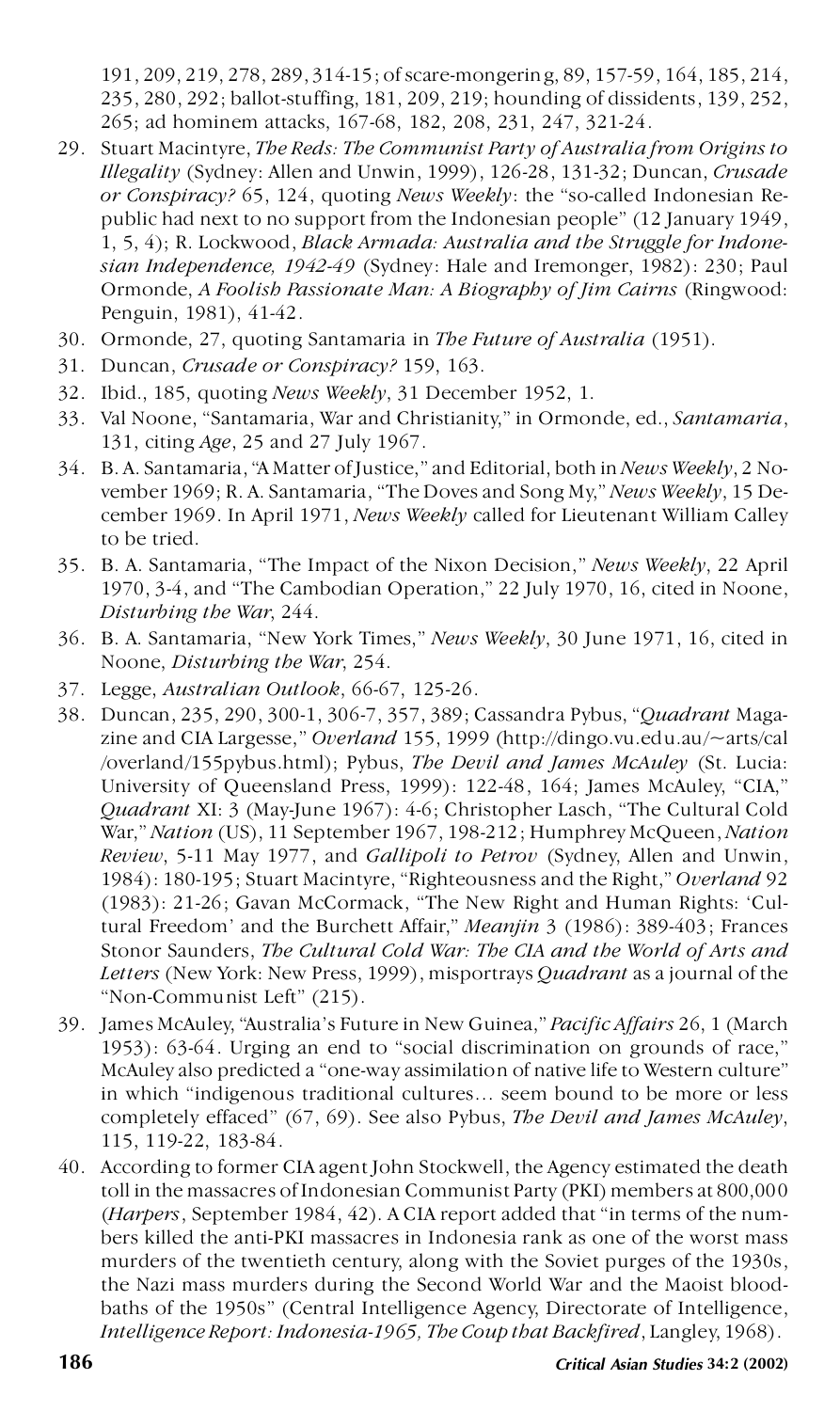191, 209, 219, 278, 289, 314-15; of scare-mongering, 89, 157-59, 164, 185, 214, 235, 280, 292; ballot-stuffing, 181, 209, 219; hounding of dissidents, 139, 252, 265; ad hominem attacks, 167-68, 182, 208, 231, 247, 321-24.

- 29. Stuart Macintyre, *The Reds: The Communist Party of Australia from Origins to Illegality* (Sydney: Allen and Unwin, 1999), 126-28, 131-32; Duncan, *Crusade or Conspiracy?* 65, 124, quoting *News Weekly*: the "so-called Indonesian Re public had next to no support from the Indonesian people" (12 January 1949, 1, 5, 4); R. Lockwood, *Black Armada: Australia and the Struggle for Indonesian Independence, 1942-49* (Sydney: Hale and Iremonger, 1982): 230; Paul Ormonde, *A Foolish Passionate Man: A Biography of Jim Cairns* (Ringwood: Penguin, 1981), 41-42.
- 30. Ormonde, 27, quoting Santamaria in *The Future of Australia* (1951).
- 31. Duncan, *Crusade or Conspiracy?* 159, 163.
- 32. Ibid., 185, quoting *News Weekly*, 31 December 1952, 1.
- 33. Val Noone, "Santamaria, War and Christianity," in Ormonde, ed., *Santamaria*, 131, citing *Age*, 25 and 27 July 1967.
- 34. B. A. Santamaria,"A Matter of Justice," and Editorial, both in *News Weekly*, 2 November 1969; R. A. Santamaria, "The Doves and Song My," *News Weekly*, 15 December 1969. In April 1971, *News Weekly* called for Lieutenant William Calley to be tried.
- 35. B. A. Santamaria, "The Impact of the Nixon Decision," *News Weekly*, 22 April 1970, 3-4, and "The Cambodian Operation," 22 July 1970, 16, cited in Noone, *Disturbing the War*, 244.
- 36. B. A. Santamaria, "New York Times," *News Weekly*, 30 June 1971, 16, cited in Noone, *Disturbing the War*, 254.
- 37. Legge, *Australian Outlook*, 66-67, 125-26.
- 38. Duncan, 235, 290, 300-1, 306-7, 357, 389; Cassandra Pybus, "*Quadrant* Magazine and CIA Largesse," *Overland* 155, 1999 (http://dingo.vu.edu.au/~arts/cal /overland/155pybus.html); Pybus, *The Devil and James McAuley* (St. Lucia: University of Queensland Press, 1999): 122-48, 164; James McAuley, "CIA," *Quadrant* XI: 3 (May-June 1967): 4-6; Christopher Lasch, "The Cultural Cold War," *Nation* (US), 11 September 1967, 198-212 ; Humphrey McQueen, *Nation Review*, 5-11 May 1977, and *Gallipoli to Petrov* (Sydney, Allen and Unwin, 1984): 180-195; Stuart Macintyre, "Righteousness and the Right," *Overland* 92 (1983): 21-26; Gavan McCormack, "The New Right and Human Rights: 'Cultural Freedom' and the Burchett Affair," *Meanjin* 3 (1986): 389-403; Frances Stonor Saunders, *The Cultural Cold War: The CIA and the World of Arts and Letters* (New York: New Press, 1999), misportrays *Quadrant* as a journal of the "Non-Communist Left" (215).
- 39. James McAuley, "Australia's Future in New Guinea," *Pacific Affairs* 26, 1 (March 1953): 63-64. Urging an end to "social discrimination on grounds of race," McAuley also predicted a "one-way assimilation of native life to Western culture" in which "indigenous traditional cultures… seem bound to be more or less completely effaced" (67, 69). See also Pybus, *The Devil and James McAuley*, 115, 119-22, 183-84.
- 40. According to former CIA agent John Stockwell, the Agency estimated the death toll in the massacres of Indonesian Communist Party (PKI) members at 800,000 (*Harpers*, September 1984, 42). A CIA report added that "in terms of the num bers killed the anti-PKI massacres in Indonesia rank as one of the worst mass murders of the twentieth century, along with the Soviet purges of the 1930s, the Nazi mass murders during the Second World War and the Maoist blood baths of the 1950s" (Central Intelligence Agency, Directorate of Intelligence, *Intelligence Report: Indonesia-1965, The Coup that Backfired*, Langley, 1968).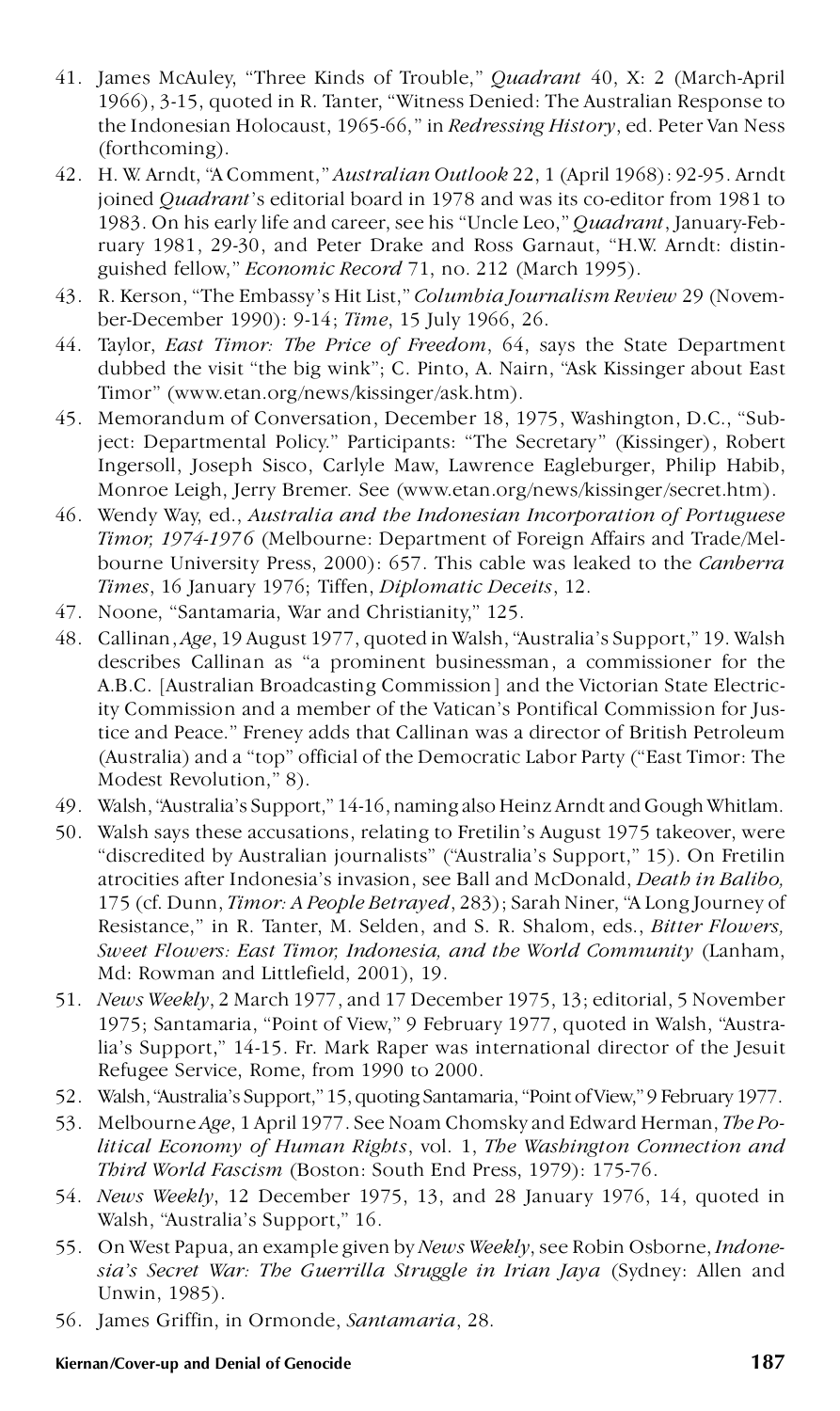- 41. James McAuley, "Three Kinds of Trouble," *Quadrant* 40, X: 2 (March-April 1966), 3-15, quoted in R. Tanter, "Witness Denied: The Australian Response to the Indonesian Holocaust, 1965-66," in *Redressing History*, ed. Peter Van Ness (forthcoming).
- 42. H. W. Arndt, "A Comment," *Australian Outlook* 22, 1 (April 1968): 92-95. Arndt joined *Quadrant*'s editorial board in 1978 and was its co-editor from 1981 to 1983. On his early life and career, see his "Uncle Leo," *Quadrant*, January-February 1981, 29-30, and Peter Drake and Ross Garnaut, "H.W. Arndt: distin guished fellow," *Economic Record* 71, no. 212 (March 1995).
- 43. R. Kerson, "The Embassy's Hit List," *Columbia Journalism Review* 29 (November-December 1990): 9-14; *Time*, 15 July 1966, 26.
- 44. Taylor, *East Timor: The Price of Freedom*, 64, says the State Department dubbed the visit "the big wink"; C. Pinto, A. Nairn, "Ask Kissinger about East Timor" (www.etan.org/news/kissinger/ask.htm).
- 45. Memorandum of Conversation, December 18, 1975, Washington, D.C., "Subject: Departmental Policy." Participants: "The Secretary" (Kissinger), Robert Ingersoll, Joseph Sisco, Carlyle Maw, Lawrence Eagleburger, Philip Habib, Monroe Leigh, Jerry Bremer. See (www.etan.org/news/kissinger/secret.htm).
- 46. Wendy Way, ed., *Australia and the Indonesian Incorporation of Portuguese Timor, 1974-197 6* (Melbourne: Department of Foreign Affairs and Trade/Mel bourne University Press, 2000): 657. This cable was leaked to the *Canberra Times*, 16 January 1976; Tiffen, *Diplomatic Deceits*, 12.
- 47. Noone, "Santamaria, War and Christianity," 125.
- 48. Callinan, *Age*, 19 August 1977, quoted in Walsh,"Australia's Support," 19. Walsh describes Callinan as "a prominent businessman, a commissioner for the A.B.C. [Australian Broadcasting Commission] and the Victorian State Electricity Commission and a member of the Vatican's Pontifical Commission for Justice and Peace." Freney adds that Callinan was a director of British Petroleum (Australia) and a "top" official of the Democratic Labor Party ("East Timor: The Modest Revolution," 8).
- 49. Walsh,"Australia's Support," 14-16, naming also Heinz Arndt and Gough Whitlam.
- 50. Walsh says these accusations, relating to Fretilin's August 1975 takeover, were "discredited by Australian journalists" ("Australia's Support," 15). On Fretilin atrocities after Indonesia's invasion, see Ball and McDonald, *Death in Balibo,* 175 (cf. Dunn, *Timor: A People Betrayed*, 283); Sarah Niner, "A Long Journey of Resistance," in R. Tanter, M. Selden, and S. R. Shalom, eds., *Bitter Flowers, Sweet Flowers: East Timor, Indonesia, and the World Community* (Lanham, Md: Rowman and Littlefield, 2001), 19.
- 51. *News Weekly*, 2 March 1977, and 17 December 1975, 13; editorial, 5 November 1975; Santamaria, "Point of View," 9 February 1977, quoted in Walsh, "Australia's Support," 14-15. Fr. Mark Raper was international director of the Jesuit Refugee Service, Rome, from 1990 to 2000.
- 52. Walsh,"Australia's Support," 15, quoting Santamaria,"Point ofView," 9 February 1977.
- 53. Melbourne *Age*, 1 April 1977. See Noam Chomsky and Edward Herman, *The Political Economy of Human Rights*, vol. 1, *The Washington Connection and Third World Fascism* (Boston: South End Press, 1979): 175-76.
- 54. *News Weekly*, 12 December 1975, 13, and 28 January 1976, 14, quoted in Walsh, "Australia's Support," 16.
- 55. On West Papua, an example given by *News Weekly*, see Robin Osborne, *Indonesia's Secret War: The Guerrilla Struggle in Irian Jaya* (Sydney: Allen and Unwin, 1985).
- 56. James Griffin, in Ormonde, *Santamaria*, 28.

#### **Kiernan/Cover-up and Denial of Genocide 187**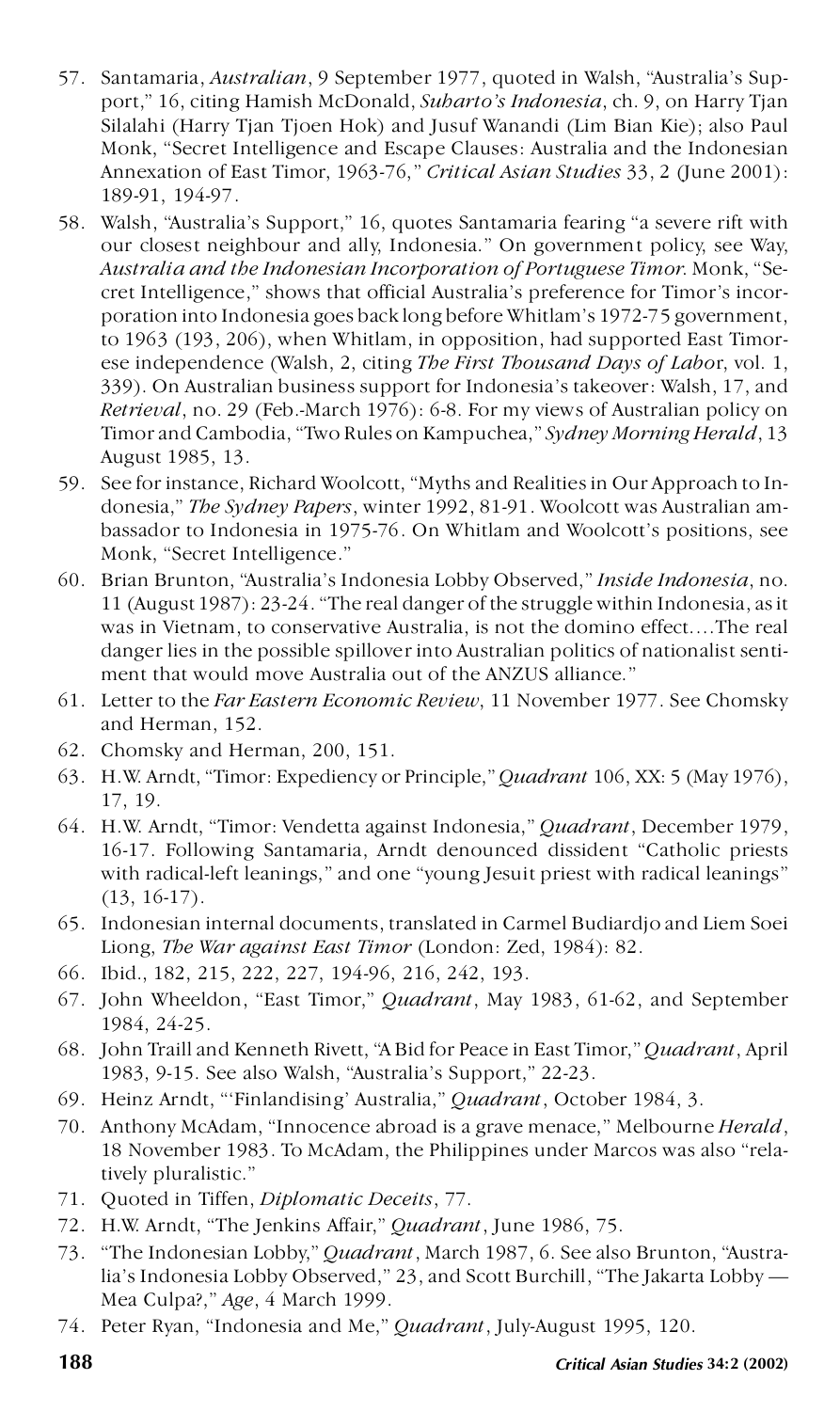- 57. Santamaria, *Australian*, 9 September 1977, quoted in Walsh, "Australia's Sup port," 16, citing Hamish McDonald, *Suharto's Indonesia*, ch. 9, on Harry Tjan Silalahi (Harry Tjan Tjoen Hok) and Jusuf Wanandi (Lim Bian Kie); also Paul Monk, "Secret Intelligence and Escape Clauses: Australia and the Indonesian Annexation of East Timor, 1963-76," *Critical Asian Studies* 33, 2 (June 2001): 189-91, 194-97.
- 58. Walsh, "Australia's Support," 16, quotes Santamaria fearing "a severe rift with our closest neighbour and ally, Indonesia." On government policy, see Way, *Australia and the Indonesian Incorporation ofPortuguese Timor*. Monk, "Se cret Intelligence," shows that official Australia's preference for Timor's incor poration into Indonesia goes back long before Whitlam's 1972-75 government, to 1963 (193, 206), when Whitlam, in opposition, had supported East Timor ese independence (Walsh, 2, citing *The First Thousand Days of Labo*r, vol. 1, 339). On Australian business support for Indonesia's takeover: Walsh, 17, and *Retrieval*, no. 29 (Feb.-March 1976): 6-8. For my views of Australian policy on Timor and Cambodia, "Two Rules on Kampuchea," *Sydney Morning Herald*, 13 August 1985, 13.
- 59. See for instance, Richard Woolcott, "Myths and Realities in Our Approach to In donesia," *The Sydney Papers*, winter 1992, 81-91. Woolcott was Australian am bassador to Indonesia in 1975-76 . On Whitlam and Woolcott's positions, see Monk, "Secret Intelligence."
- 60. Brian Brunton, "Australia's Indonesia Lobby Observed," *Inside Indonesia*, no. 11 (August 1987): 23-24. "The real danger of the struggle within Indonesia, as it was in Vietnam, to conservative Australia, is not the domino effect.…The real danger lies in the possible spillover into Australian politics of nationalist senti ment that would move Australia out of the ANZUS alliance."
- 61. Letter to the *Far Eastern Economic Review*, 11 November 1977. See Chomsky and Herman, 152.
- 62. Chomsky and Herman, 200, 151.
- 63. H.W. Arndt, "Timor: Expediency or Principle," *Quadrant* 106, XX: 5 (May 1976), 17, 19.
- 64. H.W. Arndt, "Timor: Vendetta against Indonesia," *Quadrant*, December 1979, 16-17. Following Santamaria, Arndt denounced dissident "Catholic priests with radical-left leanings," and one "young Jesuit priest with radical leanings"  $(13, 16-17)$ .
- 65. Indonesian internal documents, translated in Carmel Budiardjo and Liem Soei Liong, *The War against East Timor* (London: Zed, 1984): 82.
- 66. Ibid., 182, 215, 222, 227, 194-96, 216, 242, 193.
- 67. John Wheeldon, "East Timor," *Quadrant*, May 1983, 61-62, and September 1984, 24-25.
- 68. John Traill and Kenneth Rivett, "A Bid for Peace in East Timor," *Quadrant*, April 1983, 9-15. See also Walsh, "Australia's Support," 22-23.
- 69. Heinz Arndt, "'Finlandising' Australia," *Quadrant*, October 1984, 3.
- 70. Anthony McAdam, "Innocence abroad is a grave menace," Melbourne *Herald*, 18 November 1983. To McAdam, the Philippines under Marcos was also "relatively pluralistic."
- 71. Quoted in Tiffen, *Diplomatic Deceits*, 77.
- 72. H.W. Arndt, "The Jenkins Affair," *Quadrant*, June 1986, 75.
- 73. "The Indonesian Lobby," *Quadrant*, March 1987, 6. See also Brunton, "Australia's Indonesia Lobby Observed," 23, and Scott Burchill, "The Jakarta Lobby — Mea Culpa?," *Age*, 4 March 1999.
- 74. Peter Ryan, "Indonesia and Me," *Quadrant*, July-August 1995, 120.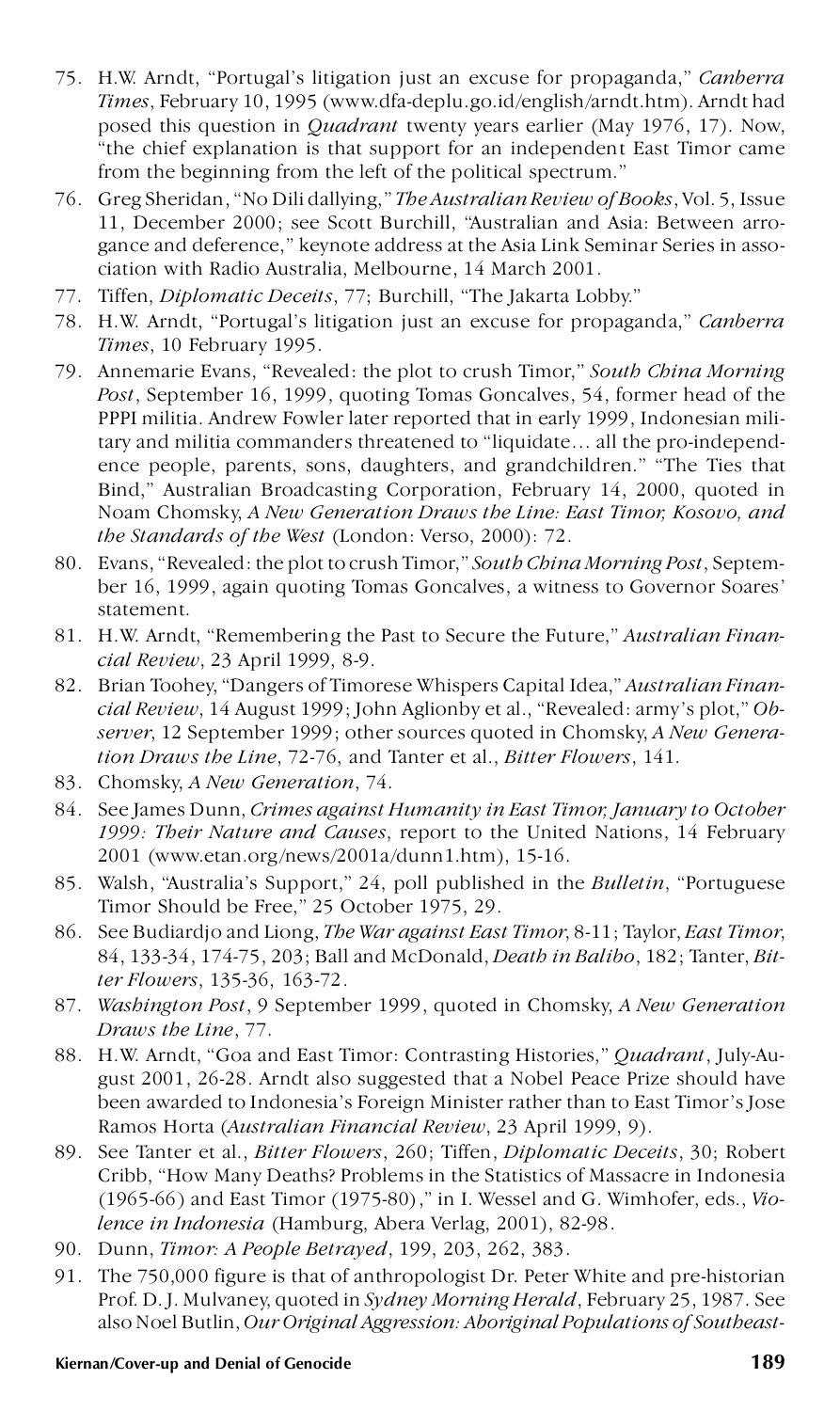- 75. H.W. Arndt, "Portugal's litigation just an excuse for propaganda," *Canberra Times*, February 10, 1995 (www.dfa-deplu.go.id/english/arndt.htm). Arndt had posed this question in *Quadrant* twenty years earlier (May 1976, 17). Now, "the chief explanation is that support for an independent East Timor came from the beginning from the left of the political spectrum."
- 76. Greg Sheridan,"No Dili dallying," *The Australian Review of Books*, Vol. 5, Issue 11, December 2000; see Scott Burchill, "Australian and Asia: Between arro gance and deference," keynote address at the Asia Link Seminar Series in asso ciation with Radio Australia, Melbourne, 14 March 2001.
- 77. Tiffen, *Diplomatic Deceits*, 77; Burchill, "The Jakarta Lobby."
- 78. H.W. Arndt, "Portugal's litigation just an excuse for propaganda," *Canberra Times*, 10 February 1995.
- 79. Annemarie Evans, "Revealed: the plot to crush Timor," *South China Morning Post*, September 16, 1999, quoting Tomas Goncalves, 54, former head of the PPPI militia. Andrew Fowler later reported that in early 1999, Indonesian military and militia commander s threatened to "liquidate… all the pro-independ ence people, parents, sons, daughters, and grandchildren." "The Ties that Bind," Australian Broadcasting Corporation, February 14, 2000, quoted in Noam Chomsky, *A New Generation Draws the Line: East Timor, Kosovo, and the Standards of the West* (London: Verso, 2000): 72.
- 80. Evans,"Revealed: the plot to crush Timor," *South China Morning Post*, September 16, 1999, again quoting Tomas Goncalves, a witness to Governor Soares' statement.
- 81. H.W. Arndt, "Remembering the Past to Secure the Future," *Australian Finan cial Review*, 23 April 1999, 8-9.
- 82. Brian Toohey, "Dangers of Timorese Whispers Capital Idea," *Australian Finan cial Review*, 14 August 1999; John Aglionby et al., "Revealed: army's plot," *Observer*, 12 September 1999; other sources quoted in Chomsky, *A New Generation Draws the Line*, 72-76, and Tanter et al., *Bitter Flowers*, 141.
- 83. Chomsky, *A New Generation*, 74.
- 84. See James Dunn, *Crimes against Humanity in East Timor, January to October 1999: Their Nature and Causes*, report to the United Nations, 14 February 2001 (www.etan.org/news/2001a/dunn1.htm), 15-16.
- 85. Walsh, "Australia's Support," 24, poll published in the *Bulletin*, "Portuguese Timor Should be Free," 25 October 1975, 29.
- 86. See Budiardjo and Liong, *The War against East Timor*, 8-11; Taylor, *East Timor*, 84, 133-34, 174-75, 203; Ball and McDonald, *Death in Balibo*, 182; Tanter, *Bitter Flowers*, 135-36, 163-72.
- 87. *Washington Post*, 9 September 1999, quoted in Chomsky, *A New Generation Draws the Line*, 77.
- 88. H.W. Arndt, "Goa and East Timor: Contrasting Histories," *Quadrant*, July-August 2001, 26-28. Arndt also suggested that a Nobel Peace Prize should have been awarded to Indonesia's Foreign Minister rather than to East Timor's Jose Ramos Horta (*Australian Financial Review*, 23 April 1999, 9).
- 89. See Tanter et al., *Bitter Flowers*, 260; Tiffen, *Diplomatic Deceits*, 30; Robert Cribb, "How Many Deaths? Problems in the Statistics of Massacre in Indonesia (1965-66 ) and East Timor (1975-80)," in I.Wessel and G. Wimhofer, eds., *Violence in Indonesia* (Hamburg, Abera Verlag, 2001), 82-98.
- 90. Dunn, *Timor: A People Betrayed*, 199, 203, 262, 383.
- 91. The 750,000 figure is that of anthropologist Dr. Peter White and pre-historian Prof. D. J. Mulvaney, quoted in *Sydney Morning Herald*, February 25, 1987. See also Noel Butlin, *Our Original Aggression: Aboriginal Populations of Southeast-*

#### **Kiernan/Cover-up and Denial of Genocide 189**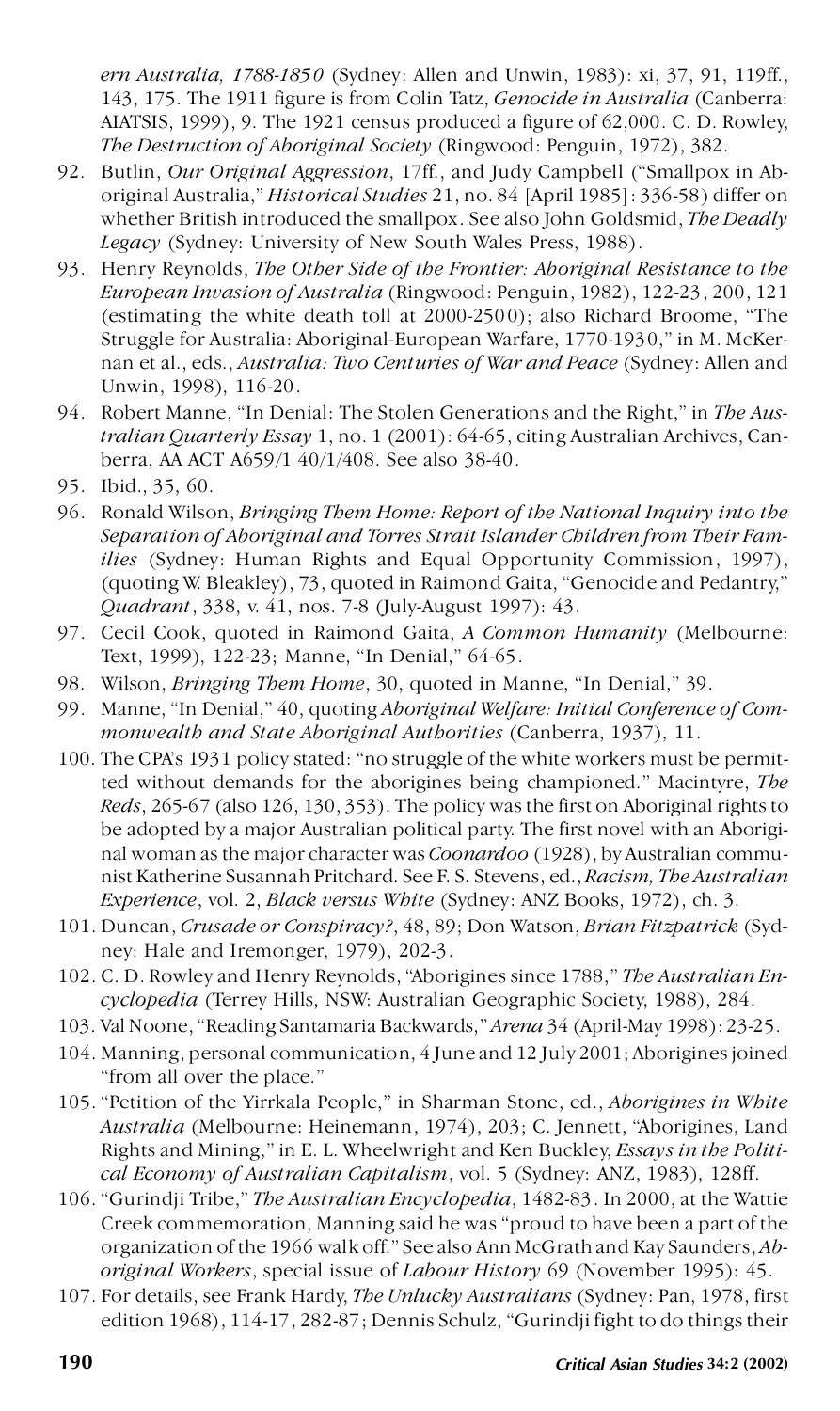*ern Australia, 1788-185 0* (Sydney: Allen and Unwin, 1983): xi, 37, 91, 119ff., 143, 175. The 1911 figure is from Colin Tatz, *Genocide in Australia* (Canberra: AIATSIS, 1999), 9. The 1921 census produced a figure of 62,000. C. D. Rowley, *The Destruction of Aboriginal Society* (Ringwood: Penguin, 1972), 382.

- 92. Butlin, *Our Original Aggression*, 17ff., and Judy Campbell ("Smallpox in Ab original Australia," *Historical Studies* 21, no. 84 [April 1985]: 336-58) differ on whether British introduced the smallpox. See also John Goldsmid, *The Deadly Legacy* (Sydney: University of New South Wales Press, 1988).
- 93. Henry Reynolds, *The Other Side of the Frontier: Aboriginal Resistance to the European Invasion ofAustralia* (Ringwood: Penguin, 1982), 122-23, 200, 121 (estimating the white death toll at 2000-250 0); also Richard Broome, "The Struggle for Australia: Aboriginal-European Warfare, 1770-1930," in M. McKer nan et al., eds., *Australia: Two Centuries of War and Peace* (Sydney: Allen and Unwin, 1998), 116-20.
- 94. Robert Manne, "In Denial: The Stolen Generations and the Right," in *The Australian Quarterly Essay* 1, no. 1 (2001): 64-65, citing Australian Archives, Can berra, AA ACT A659/1 40/1/408. See also 38-40.
- 95. Ibid., 35, 60.
- 96. Ronald Wilson, *Bringing Them Home: Report of the National Inquiry into the Separation ofAboriginal and Torres Strait Islander Children from Their Families* (Sydney: Human Rights and Equal Opportunity Commission, 1997), (quoting W. Bleakley), 73, quoted in Raimond Gaita, "Genocide and Pedantry," *Quadrant*, 338, v. 41, nos. 7-8 (July-August 1997): 43.
- 97. Cecil Cook, quoted in Raimond Gaita, *A Common Humanity* (Melbourne: Text, 1999), 122-23; Manne, "In Denial," 64-65.
- 98. Wilson, *Bringing Them Home*, 30, quoted in Manne, "In Denial," 39.
- 99. Manne, "In Denial," 40, quoting *Aboriginal Welfare: Initial Conference of Com monwealth and State Aboriginal Authorities* (Canberra, 1937), 11.
- 100. The CPA's 1931 policy stated: "no struggle of the white workers must be permitted without demands for the aborigines being championed." Macintyre, *The Reds*, 265-67 (also 126, 130, 353). The policy was the first on Aboriginal rights to be adopted by a major Australian political party. The first novel with an Aborigi nal woman as the major character was *Coonardoo* (1928), by Australian commu nist Katherine Susannah Pritchard. See F.S. Stevens, ed., *Racism, The Australian Experience*, vol. 2, *Black versus White* (Sydney: ANZ Books, 1972), ch. 3.
- 101. Duncan, *Crusade or Conspiracy?*, 48, 89; Don Watson, *Brian Fitzpatrick* (Sydney: Hale and Iremonger, 1979), 202-3.
- 102. C. D. Rowley and Henry Reynolds, "Aborigines since 1788," *The Australian En cyclopedia* (Terrey Hills, NSW: Australian Geographic Society, 1988), 284.
- 103. Val Noone,"Reading Santamaria Backwards," *Arena* 34 (April-May 1998): 23-25.
- 104. Manning, personal communication, 4 June and 12 July 2001; Aborigines joined "from all over the place."
- 105. "Petition of the Yirrkala People," in Sharman Stone, ed., *Aborigines in White Australia* (Melbourne: Heinemann, 1974), 203; C. Jennett, "Aborigines, Land Rights and Mining," in E. L. Wheelwright and Ken Buckley, *Essays in the Politi cal Economy of Australian Capitalism*, vol. 5 (Sydney: ANZ, 1983), 128ff.
- 106. "Gurindji Tribe," *The Australian Encyclopedia*, 1482-83 . In 2000, at the Wattie Creek commemoration, Manning said he was "proud to have been a part of the organization of the 1966 walk off." See also Ann McGrath and Kay Saunders, *Aboriginal Workers*, special issue of *Labour History* 69 (November 1995): 45.
- 107. For details, see Frank Hardy, *The Unlucky Australians* (Sydney: Pan, 1978, first edition 1968), 114-17, 282-87; Dennis Schulz, "Gurindji fight to do things their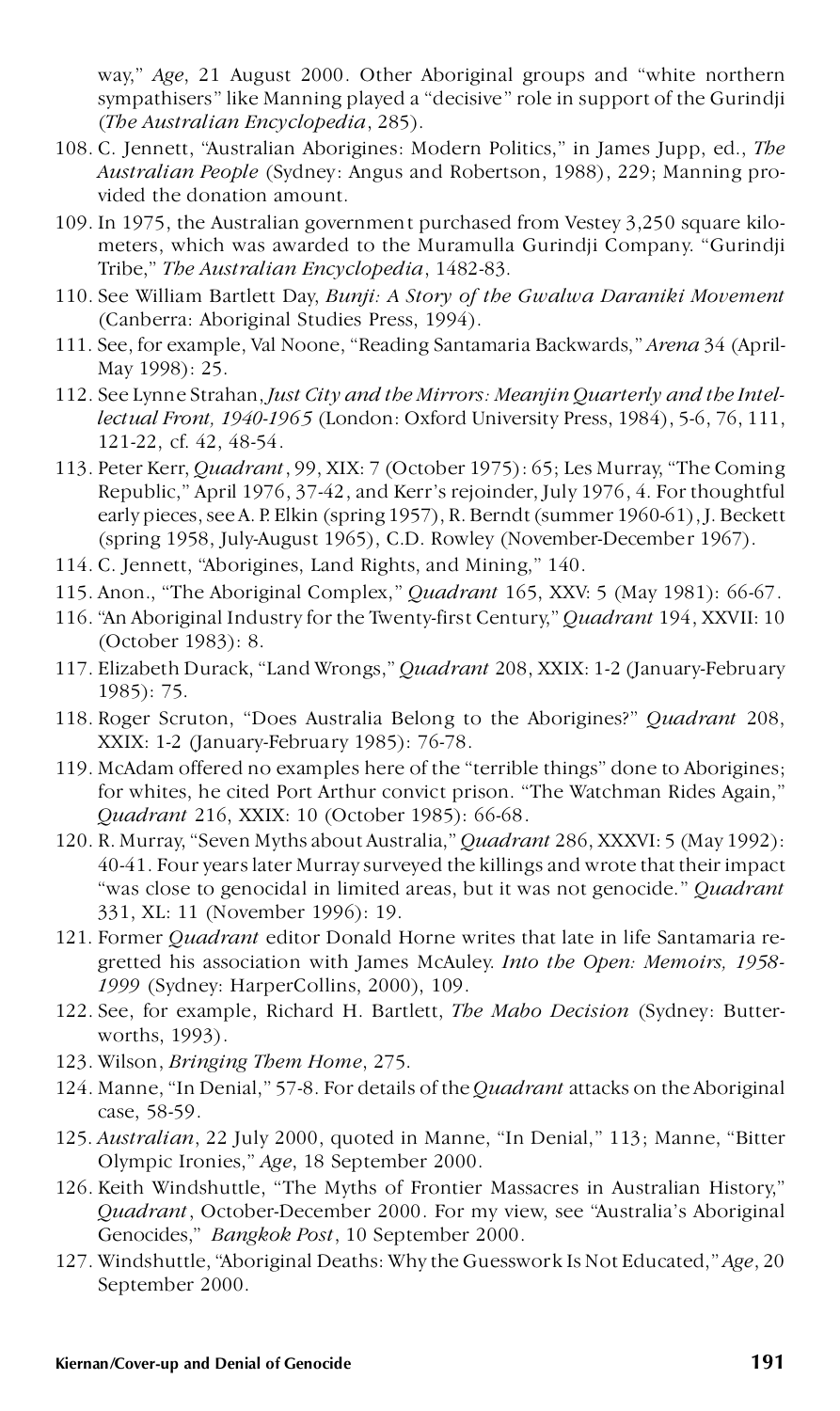way," *Age*, 21 August 2000. Other Aboriginal groups and "white northern sympathisers" like Manning played a "decisive" role in support of the Gurindji (*The Australian Encyclopedia*, 285).

- 108. C. Jennett, "Australian Aborigines: Modern Politics," in James Jupp, ed., *The Australian People* (Sydney: Angus and Robertson, 1988), 229; Manning pro vided the donation amount.
- 109. In 1975, the Australian government purchased from Vestey 3,250 square kilo meters, which was awarded to the Muramulla Gurindji Company. "Gurindji Tribe," *The Australian Encyclopedia*, 1482-83.
- 110. See William Bartlett Day, *Bunji: A Story of the Gwalwa Daraniki Movement* (Canberra: Aboriginal Studies Press, 1994).
- 111. See, for example, Val Noone, "Reading Santamaria Backwards," *Arena* 34 (April-May 1998): 25.
- 112. See Lynne Strahan, *Just City and the Mirrors: Meanjin Quarterly and the Intellectual Front, 1940-196 5* (London: Oxford University Press, 1984), 5-6, 76, 111, 121-22, cf. 42, 48-54.
- 113. Peter Kerr, *Quadrant*, 99, XIX: 7 (October 1975): 65; Les Murray, "The Coming Republic," April 1976, 37-42, and Kerr's rejoinder, July 1976, 4. For thoughtful early pieces, see A. P. Elkin (spring 1957), R. Berndt (summer 1960-61), J. Beckett (spring 1958, July-August 1965), C.D. Rowley (November-December 1967).
- 114. C. Jennett, "Aborigines, Land Rights, and Mining," 140.
- 115. Anon., "The Aboriginal Complex," *Quadrant* 165, XXV: 5 (May 1981): 66-67.
- 116. "An Aboriginal Industry for the Twenty-first Century," *Quadrant* 194, XXVII: 10 (October 1983): 8.
- 117. Elizabeth Durack, "Land Wrongs," *Quadrant* 208, XXIX: 1-2 (January-February 1985): 75.
- 118. Roger Scruton, "Does Australia Belong to the Aborigines?" *Quadrant* 208, XXIX: 1-2 (January-February 1985): 76-78.
- 119. McAdam offered no examples here of the "terrible things" done to Aborigines; for whites, he cited Port Arthur convict prison. "The Watchman Rides Again," *Quadrant* 216, XXIX: 10 (October 1985): 66-68.
- 120. R. Murray, "Seven Myths about Australia," *Quadrant* 286, XXXVI: 5 (May 1992): 40-41. Four years later Murray surveyed the killings and wrote that their impact "was close to genocidal in limited areas, but it was not genocide." *Quadrant* 331, XL: 11 (November 1996): 19.
- 121. Former *Quadrant* editor Donald Horne writes that late in life Santamaria re gretted his association with James McAuley. *Into the Open: Memoirs, 1958- 1999* (Sydney: HarperCollins, 2000), 109.
- 122. See, for example, Richard H. Bartlett, *The Mabo Decision* (Sydney: Butter worths, 1993).
- 123. Wilson, *Bringing Them Home*, 275.
- 124. Manne, "In Denial," 57-8. For details of the *Quadrant* attacks on the Aboriginal case, 58-59.
- 125. *Australian*, 22 July 2000, quoted in Manne, "In Denial," 113; Manne, "Bitter Olympic Ironies," *Age*, 18 September 2000.
- 126. Keith Windshuttle, "The Myths of Frontier Massacres in Australian History," *Quadrant*, October-December 2000. For my view, see "Australia's Aboriginal Genocides," *Bangkok Post*, 10 September 2000.
- 127. Windshuttle, "Aboriginal Deaths: Why the Guesswork Is Not Educated," *Age*, 20 September 2000.